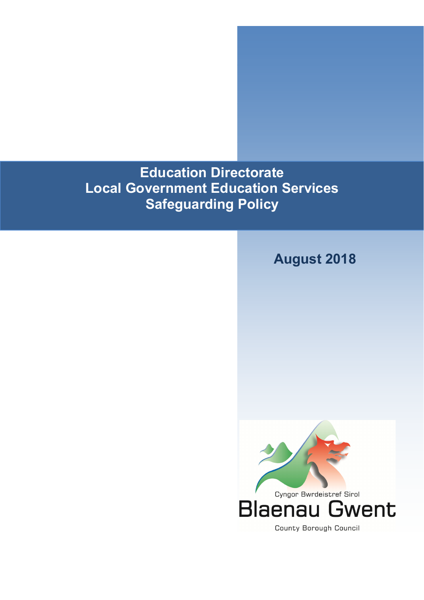**Education Directorate Local Government Education Services Safeguarding Policy** 

# **August 2018**

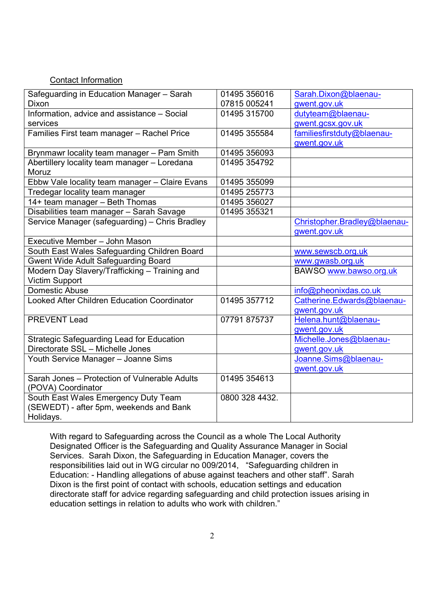#### Contact Information

| Safeguarding in Education Manager - Sarah          | 01495 356016   | Sarah.Dixon@blaenau-         |
|----------------------------------------------------|----------------|------------------------------|
| <b>Dixon</b>                                       | 07815 005241   | gwent.gov.uk                 |
| Information, advice and assistance - Social        | 01495 315700   | dutyteam@blaenau-            |
| services                                           |                | gwent.gcsx.gov.uk            |
| Families First team manager - Rachel Price         | 01495 355584   | familiesfirstduty@blaenau-   |
|                                                    |                | gwent.gov.uk                 |
| Brynmawr locality team manager - Pam Smith         | 01495 356093   |                              |
| Abertillery locality team manager - Loredana       | 01495 354792   |                              |
| Moruz                                              |                |                              |
| Ebbw Vale locality team manager - Claire Evans     | 01495 355099   |                              |
| Tredegar locality team manager                     | 01495 255773   |                              |
| 14+ team manager - Beth Thomas                     | 01495 356027   |                              |
| Disabilities team manager - Sarah Savage           | 01495 355321   |                              |
| Service Manager (safeguarding) - Chris Bradley     |                | Christopher.Bradley@blaenau- |
|                                                    |                | gwent.gov.uk                 |
| Executive Member - John Mason                      |                |                              |
| South East Wales Safeguarding Children Board       |                | www.sewscb.org.uk            |
| <b>Gwent Wide Adult Safeguarding Board</b>         |                | www.gwasb.org.uk             |
| Modern Day Slavery/Trafficking - Training and      |                | BAWSO www.bawso.org.uk       |
| <b>Victim Support</b>                              |                |                              |
| Domestic Abuse                                     |                | info@pheonixdas.co.uk        |
| <b>Looked After Children Education Coordinator</b> | 01495 357712   | Catherine.Edwards@blaenau-   |
|                                                    |                | gwent.gov.uk                 |
| <b>PREVENT Lead</b>                                | 07791 875737   | Helena.hunt@blaenau-         |
|                                                    |                | gwent.gov.uk                 |
| <b>Strategic Safeguarding Lead for Education</b>   |                | Michelle.Jones@blaenau-      |
| Directorate SSL - Michelle Jones                   |                | gwent.gov.uk                 |
| Youth Service Manager - Joanne Sims                |                | Joanne.Sims@blaenau-         |
|                                                    |                | gwent.gov.uk                 |
| Sarah Jones - Protection of Vulnerable Adults      | 01495 354613   |                              |
| (POVA) Coordinator                                 |                |                              |
| South East Wales Emergency Duty Team               | 0800 328 4432. |                              |
| (SEWEDT) - after 5pm, weekends and Bank            |                |                              |
| Holidays.                                          |                |                              |

With regard to Safeguarding across the Council as a whole The Local Authority Designated Officer is the Safeguarding and Quality Assurance Manager in Social Services. Sarah Dixon, the Safeguarding in Education Manager, covers the responsibilities laid out in WG circular no 009/2014, "Safeguarding children in Education: - Handling allegations of abuse against teachers and other staff". Sarah Dixon is the first point of contact with schools, education settings and education directorate staff for advice regarding safeguarding and child protection issues arising in education settings in relation to adults who work with children."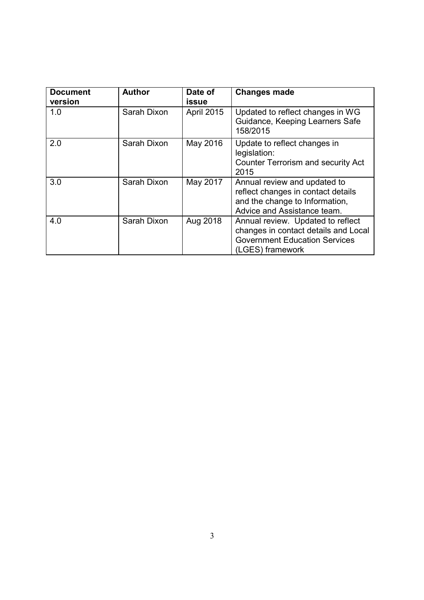| <b>Document</b><br>version | <b>Author</b> | Date of<br>issue  | <b>Changes made</b>                                                                                                                   |
|----------------------------|---------------|-------------------|---------------------------------------------------------------------------------------------------------------------------------------|
| 1.0                        | Sarah Dixon   | <b>April 2015</b> | Updated to reflect changes in WG<br>Guidance, Keeping Learners Safe<br>158/2015                                                       |
| 2.0                        | Sarah Dixon   | May 2016          | Update to reflect changes in<br>legislation:<br><b>Counter Terrorism and security Act</b><br>2015                                     |
| 3.0                        | Sarah Dixon   | May 2017          | Annual review and updated to<br>reflect changes in contact details<br>and the change to Information,<br>Advice and Assistance team.   |
| 4.0                        | Sarah Dixon   | Aug 2018          | Annual review. Updated to reflect<br>changes in contact details and Local<br><b>Government Education Services</b><br>(LGES) framework |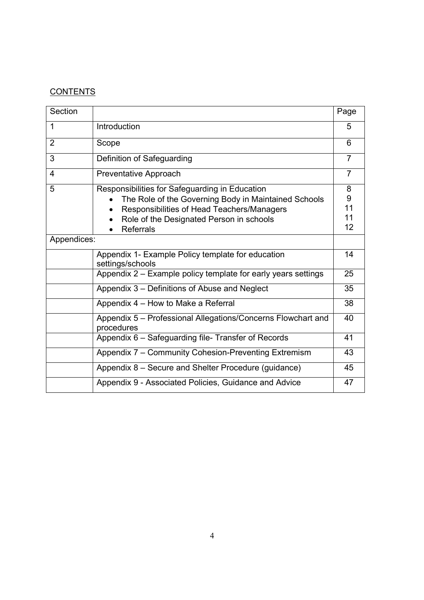# **CONTENTS**

| Section        |                                                                            | Page           |
|----------------|----------------------------------------------------------------------------|----------------|
| $\mathbf 1$    | Introduction                                                               | 5              |
| $\overline{2}$ | Scope                                                                      | 6              |
| 3              | Definition of Safeguarding                                                 | $\overline{7}$ |
| 4              | Preventative Approach                                                      | $\overline{7}$ |
| 5              | Responsibilities for Safeguarding in Education                             | 8              |
|                | The Role of the Governing Body in Maintained Schools                       | 9              |
|                | Responsibilities of Head Teachers/Managers                                 | 11             |
|                | Role of the Designated Person in schools                                   | 11             |
|                | <b>Referrals</b>                                                           | 12             |
| Appendices:    |                                                                            |                |
|                | Appendix 1- Example Policy template for education<br>settings/schools      | 14             |
|                | Appendix 2 – Example policy template for early years settings              | 25             |
|                | Appendix 3 - Definitions of Abuse and Neglect                              | 35             |
|                | Appendix 4 - How to Make a Referral                                        | 38             |
|                | Appendix 5 - Professional Allegations/Concerns Flowchart and<br>procedures | 40             |
|                | Appendix 6 - Safeguarding file- Transfer of Records                        | 41             |
|                | Appendix 7 - Community Cohesion-Preventing Extremism                       | 43             |
|                | Appendix 8 – Secure and Shelter Procedure (guidance)                       | 45             |
|                | Appendix 9 - Associated Policies, Guidance and Advice                      | 47             |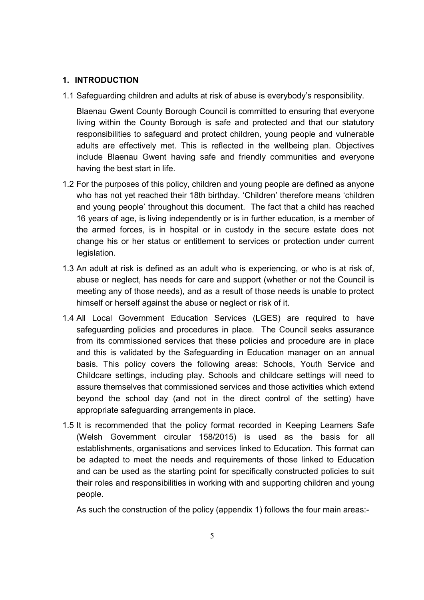#### **1. INTRODUCTION**

1.1 Safeguarding children and adults at risk of abuse is everybody's responsibility.

Blaenau Gwent County Borough Council is committed to ensuring that everyone living within the County Borough is safe and protected and that our statutory responsibilities to safeguard and protect children, young people and vulnerable adults are effectively met. This is reflected in the wellbeing plan. Objectives include Blaenau Gwent having safe and friendly communities and everyone having the best start in life.

- 1.2 For the purposes of this policy, children and young people are defined as anyone who has not yet reached their 18th birthday. 'Children' therefore means 'children and young people' throughout this document. The fact that a child has reached 16 years of age, is living independently or is in further education, is a member of the armed forces, is in hospital or in custody in the secure estate does not change his or her status or entitlement to services or protection under current legislation.
- 1.3 An adult at risk is defined as an adult who is experiencing, or who is at risk of, abuse or neglect, has needs for care and support (whether or not the Council is meeting any of those needs), and as a result of those needs is unable to protect himself or herself against the abuse or neglect or risk of it.
- 1.4 All Local Government Education Services (LGES) are required to have safeguarding policies and procedures in place. The Council seeks assurance from its commissioned services that these policies and procedure are in place and this is validated by the Safeguarding in Education manager on an annual basis. This policy covers the following areas: Schools, Youth Service and Childcare settings, including play. Schools and childcare settings will need to assure themselves that commissioned services and those activities which extend beyond the school day (and not in the direct control of the setting) have appropriate safeguarding arrangements in place.
- 1.5 It is recommended that the policy format recorded in Keeping Learners Safe (Welsh Government circular 158/2015) is used as the basis for all establishments, organisations and services linked to Education. This format can be adapted to meet the needs and requirements of those linked to Education and can be used as the starting point for specifically constructed policies to suit their roles and responsibilities in working with and supporting children and young people.

As such the construction of the policy (appendix 1) follows the four main areas:-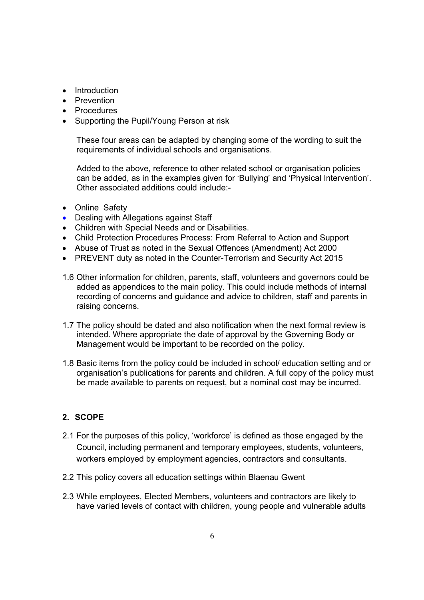- Introduction
- Prevention
- Procedures
- Supporting the Pupil/Young Person at risk

These four areas can be adapted by changing some of the wording to suit the requirements of individual schools and organisations.

Added to the above, reference to other related school or organisation policies can be added, as in the examples given for 'Bullying' and 'Physical Intervention'. Other associated additions could include:-

- Online Safety
- Dealing with Allegations against Staff
- Children with Special Needs and or Disabilities.
- Child Protection Procedures Process: From Referral to Action and Support
- Abuse of Trust as noted in the Sexual Offences (Amendment) Act 2000
- PREVENT duty as noted in the Counter-Terrorism and Security Act 2015
- 1.6 Other information for children, parents, staff, volunteers and governors could be added as appendices to the main policy. This could include methods of internal recording of concerns and guidance and advice to children, staff and parents in raising concerns.
- 1.7 The policy should be dated and also notification when the next formal review is intended. Where appropriate the date of approval by the Governing Body or Management would be important to be recorded on the policy.
- 1.8 Basic items from the policy could be included in school/ education setting and or organisation's publications for parents and children. A full copy of the policy must be made available to parents on request, but a nominal cost may be incurred.

## **2. SCOPE**

- 2.1 For the purposes of this policy, 'workforce' is defined as those engaged by the Council, including permanent and temporary employees, students, volunteers, workers employed by employment agencies, contractors and consultants.
- 2.2 This policy covers all education settings within Blaenau Gwent
- 2.3 While employees, Elected Members, volunteers and contractors are likely to have varied levels of contact with children, young people and vulnerable adults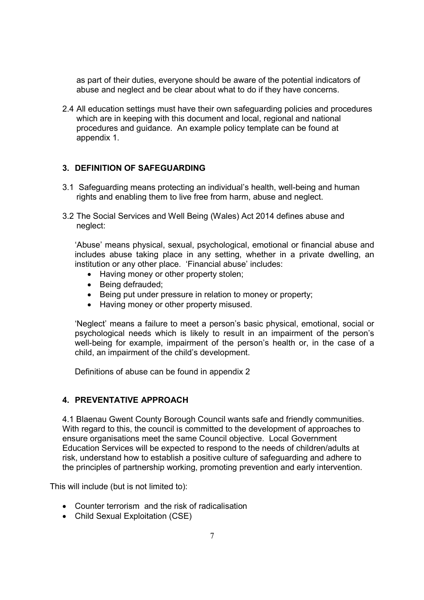as part of their duties, everyone should be aware of the potential indicators of abuse and neglect and be clear about what to do if they have concerns.

2.4 All education settings must have their own safeguarding policies and procedures which are in keeping with this document and local, regional and national procedures and guidance. An example policy template can be found at appendix 1.

## **3. DEFINITION OF SAFEGUARDING**

- 3.1 Safeguarding means protecting an individual's health, well-being and human rights and enabling them to live free from harm, abuse and neglect.
- 3.2 The Social Services and Well Being (Wales) Act 2014 defines abuse and neglect:

 'Abuse' means physical, sexual, psychological, emotional or financial abuse and includes abuse taking place in any setting, whether in a private dwelling, an institution or any other place. 'Financial abuse' includes:

- Having money or other property stolen;
- Being defrauded;
- Being put under pressure in relation to money or property;
- Having money or other property misused.

'Neglect' means a failure to meet a person's basic physical, emotional, social or psychological needs which is likely to result in an impairment of the person's well-being for example, impairment of the person's health or, in the case of a child, an impairment of the child's development.

Definitions of abuse can be found in appendix 2

#### **4. PREVENTATIVE APPROACH**

4.1 Blaenau Gwent County Borough Council wants safe and friendly communities. With regard to this, the council is committed to the development of approaches to ensure organisations meet the same Council objective. Local Government Education Services will be expected to respond to the needs of children/adults at risk, understand how to establish a positive culture of safeguarding and adhere to the principles of partnership working, promoting prevention and early intervention.

This will include (but is not limited to):

- Counter terrorism and the risk of radicalisation
- Child Sexual Exploitation (CSE)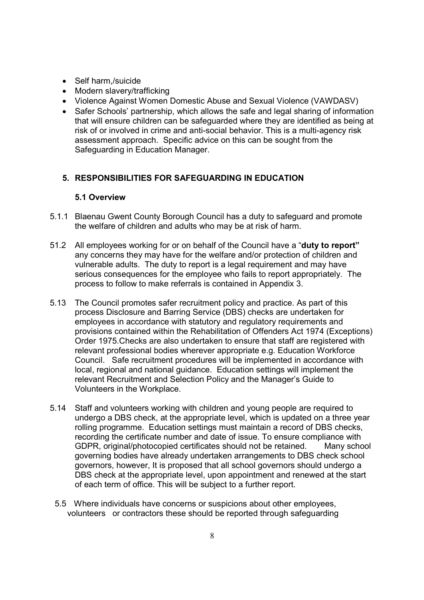- Self harm,/suicide
- Modern slavery/trafficking
- Violence Against Women Domestic Abuse and Sexual Violence (VAWDASV)
- Safer Schools' partnership, which allows the safe and legal sharing of information that will ensure children can be safeguarded where they are identified as being at risk of or involved in crime and anti-social behavior. This is a multi-agency risk assessment approach. Specific advice on this can be sought from the Safeguarding in Education Manager.

## **5. RESPONSIBILITIES FOR SAFEGUARDING IN EDUCATION**

#### **5.1 Overview**

- 5.1.1 Blaenau Gwent County Borough Council has a duty to safeguard and promote the welfare of children and adults who may be at risk of harm.
- 51.2 All employees working for or on behalf of the Council have a "**duty to report"** any concerns they may have for the welfare and/or protection of children and vulnerable adults. The duty to report is a legal requirement and may have serious consequences for the employee who fails to report appropriately. The process to follow to make referrals is contained in Appendix 3.
- 5.13 The Council promotes safer recruitment policy and practice. As part of this process Disclosure and Barring Service (DBS) checks are undertaken for employees in accordance with statutory and regulatory requirements and provisions contained within the Rehabilitation of Offenders Act 1974 (Exceptions) Order 1975.Checks are also undertaken to ensure that staff are registered with relevant professional bodies wherever appropriate e.g. Education Workforce Council. Safe recruitment procedures will be implemented in accordance with local, regional and national guidance. Education settings will implement the relevant Recruitment and Selection Policy and the Manager's Guide to Volunteers in the Workplace.
- 5.14 Staff and volunteers working with children and young people are required to undergo a DBS check, at the appropriate level, which is updated on a three year rolling programme. Education settings must maintain a record of DBS checks, recording the certificate number and date of issue. To ensure compliance with GDPR, original/photocopied certificates should not be retained. Many school governing bodies have already undertaken arrangements to DBS check school governors, however, It is proposed that all school governors should undergo a DBS check at the appropriate level, upon appointment and renewed at the start of each term of office. This will be subject to a further report.
	- 5.5 Where individuals have concerns or suspicions about other employees, volunteers or contractors these should be reported through safeguarding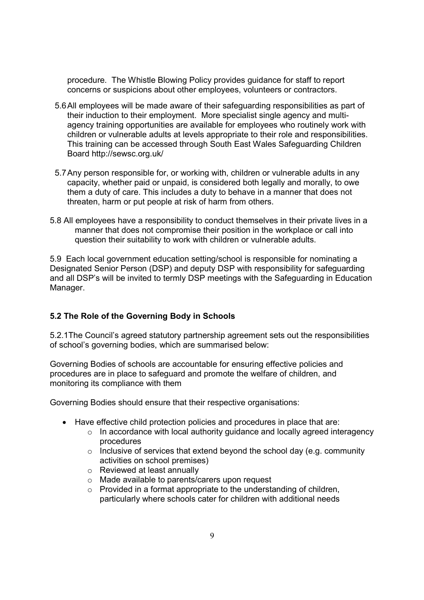procedure. The Whistle Blowing Policy provides guidance for staff to report concerns or suspicions about other employees, volunteers or contractors.

- 5.6 All employees will be made aware of their safeguarding responsibilities as part of their induction to their employment. More specialist single agency and multiagency training opportunities are available for employees who routinely work with children or vulnerable adults at levels appropriate to their role and responsibilities. This training can be accessed through South East Wales Safeguarding Children Board http://sewsc.org.uk/
- 5.7 Any person responsible for, or working with, children or vulnerable adults in any capacity, whether paid or unpaid, is considered both legally and morally, to owe them a duty of care. This includes a duty to behave in a manner that does not threaten, harm or put people at risk of harm from others.
- 5.8 All employees have a responsibility to conduct themselves in their private lives in a manner that does not compromise their position in the workplace or call into question their suitability to work with children or vulnerable adults.

5.9Each local government education setting/school is responsible for nominating a Designated Senior Person (DSP) and deputy DSP with responsibility for safeguarding and all DSP's will be invited to termly DSP meetings with the Safeguarding in Education Manager.

#### **5.2 The Role of the Governing Body in Schools**

5.2.1The Council's agreed statutory partnership agreement sets out the responsibilities of school's governing bodies, which are summarised below:

Governing Bodies of schools are accountable for ensuring effective policies and procedures are in place to safeguard and promote the welfare of children, and monitoring its compliance with them

Governing Bodies should ensure that their respective organisations:

- Have effective child protection policies and procedures in place that are:
	- o In accordance with local authority guidance and locally agreed interagency procedures
	- o Inclusive of services that extend beyond the school day (e.g. community activities on school premises)
	- o Reviewed at least annually
	- o Made available to parents/carers upon request
	- $\circ$  Provided in a format appropriate to the understanding of children, particularly where schools cater for children with additional needs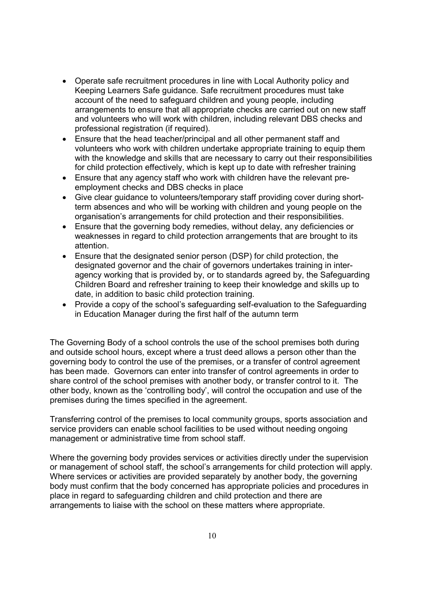- Operate safe recruitment procedures in line with Local Authority policy and Keeping Learners Safe guidance. Safe recruitment procedures must take account of the need to safeguard children and young people, including arrangements to ensure that all appropriate checks are carried out on new staff and volunteers who will work with children, including relevant DBS checks and professional registration (if required).
- Ensure that the head teacher/principal and all other permanent staff and volunteers who work with children undertake appropriate training to equip them with the knowledge and skills that are necessary to carry out their responsibilities for child protection effectively, which is kept up to date with refresher training
- Ensure that any agency staff who work with children have the relevant preemployment checks and DBS checks in place
- Give clear guidance to volunteers/temporary staff providing cover during shortterm absences and who will be working with children and young people on the organisation's arrangements for child protection and their responsibilities.
- Ensure that the governing body remedies, without delay, any deficiencies or weaknesses in regard to child protection arrangements that are brought to its attention.
- Ensure that the designated senior person (DSP) for child protection, the designated governor and the chair of governors undertakes training in interagency working that is provided by, or to standards agreed by, the Safeguarding Children Board and refresher training to keep their knowledge and skills up to date, in addition to basic child protection training.
- Provide a copy of the school's safeguarding self-evaluation to the Safeguarding in Education Manager during the first half of the autumn term

The Governing Body of a school controls the use of the school premises both during and outside school hours, except where a trust deed allows a person other than the governing body to control the use of the premises, or a transfer of control agreement has been made. Governors can enter into transfer of control agreements in order to share control of the school premises with another body, or transfer control to it. The other body, known as the 'controlling body', will control the occupation and use of the premises during the times specified in the agreement.

Transferring control of the premises to local community groups, sports association and service providers can enable school facilities to be used without needing ongoing management or administrative time from school staff.

Where the governing body provides services or activities directly under the supervision or management of school staff, the school's arrangements for child protection will apply. Where services or activities are provided separately by another body, the governing body must confirm that the body concerned has appropriate policies and procedures in place in regard to safeguarding children and child protection and there are arrangements to liaise with the school on these matters where appropriate.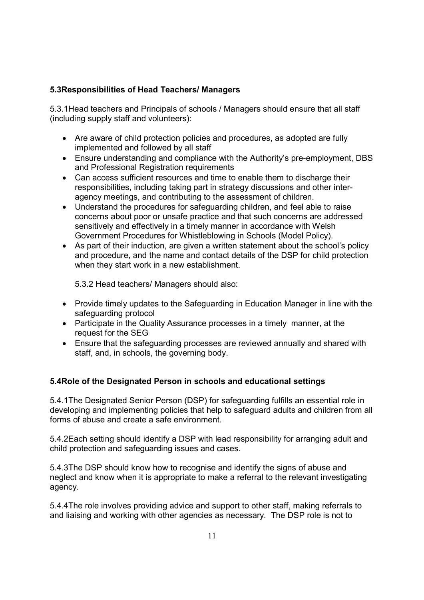## **5.3Responsibilities of Head Teachers/ Managers**

5.3.1Head teachers and Principals of schools / Managers should ensure that all staff (including supply staff and volunteers):

- Are aware of child protection policies and procedures, as adopted are fully implemented and followed by all staff
- Ensure understanding and compliance with the Authority's pre-employment, DBS and Professional Registration requirements
- Can access sufficient resources and time to enable them to discharge their responsibilities, including taking part in strategy discussions and other interagency meetings, and contributing to the assessment of children.
- Understand the procedures for safeguarding children, and feel able to raise concerns about poor or unsafe practice and that such concerns are addressed sensitively and effectively in a timely manner in accordance with Welsh Government Procedures for Whistleblowing in Schools (Model Policy).
- As part of their induction, are given a written statement about the school's policy and procedure, and the name and contact details of the DSP for child protection when they start work in a new establishment.

5.3.2 Head teachers/ Managers should also:

- Provide timely updates to the Safeguarding in Education Manager in line with the safeguarding protocol
- Participate in the Quality Assurance processes in a timely manner, at the request for the SEG
- Ensure that the safeguarding processes are reviewed annually and shared with staff, and, in schools, the governing body.

## **5.4Role of the Designated Person in schools and educational settings**

5.4.1The Designated Senior Person (DSP) for safeguarding fulfills an essential role in developing and implementing policies that help to safeguard adults and children from all forms of abuse and create a safe environment.

5.4.2Each setting should identify a DSP with lead responsibility for arranging adult and child protection and safeguarding issues and cases.

5.4.3The DSP should know how to recognise and identify the signs of abuse and neglect and know when it is appropriate to make a referral to the relevant investigating agency.

5.4.4The role involves providing advice and support to other staff, making referrals to and liaising and working with other agencies as necessary. The DSP role is not to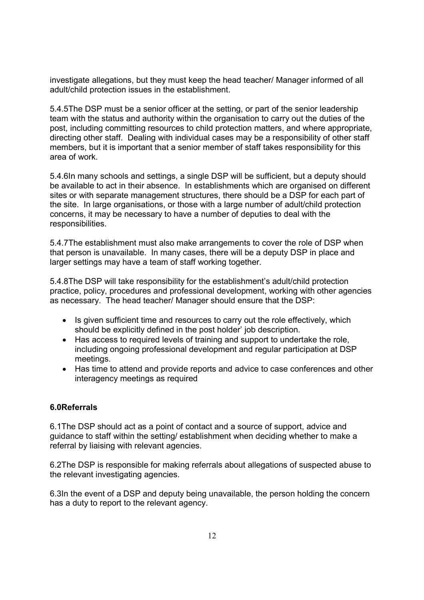investigate allegations, but they must keep the head teacher/ Manager informed of all adult/child protection issues in the establishment.

5.4.5The DSP must be a senior officer at the setting, or part of the senior leadership team with the status and authority within the organisation to carry out the duties of the post, including committing resources to child protection matters, and where appropriate, directing other staff. Dealing with individual cases may be a responsibility of other staff members, but it is important that a senior member of staff takes responsibility for this area of work.

5.4.6In many schools and settings, a single DSP will be sufficient, but a deputy should be available to act in their absence. In establishments which are organised on different sites or with separate management structures, there should be a DSP for each part of the site. In large organisations, or those with a large number of adult/child protection concerns, it may be necessary to have a number of deputies to deal with the responsibilities.

5.4.7The establishment must also make arrangements to cover the role of DSP when that person is unavailable. In many cases, there will be a deputy DSP in place and larger settings may have a team of staff working together.

5.4.8The DSP will take responsibility for the establishment's adult/child protection practice, policy, procedures and professional development, working with other agencies as necessary. The head teacher/ Manager should ensure that the DSP:

- Is given sufficient time and resources to carry out the role effectively, which should be explicitly defined in the post holder' job description.
- Has access to required levels of training and support to undertake the role, including ongoing professional development and regular participation at DSP meetings.
- Has time to attend and provide reports and advice to case conferences and other interagency meetings as required

#### **6.0Referrals**

6.1The DSP should act as a point of contact and a source of support, advice and guidance to staff within the setting/ establishment when deciding whether to make a referral by liaising with relevant agencies.

6.2The DSP is responsible for making referrals about allegations of suspected abuse to the relevant investigating agencies.

6.3In the event of a DSP and deputy being unavailable, the person holding the concern has a duty to report to the relevant agency.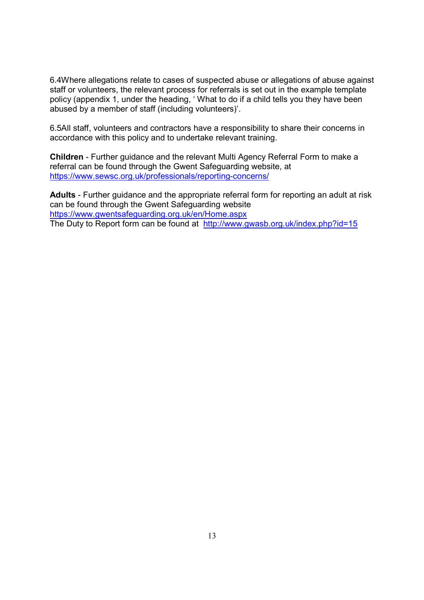6.4Where allegations relate to cases of suspected abuse or allegations of abuse against staff or volunteers, the relevant process for referrals is set out in the example template policy (appendix 1, under the heading, ' What to do if a child tells you they have been abused by a member of staff (including volunteers)'.

6.5All staff, volunteers and contractors have a responsibility to share their concerns in accordance with this policy and to undertake relevant training.

**Children** - Further guidance and the relevant Multi Agency Referral Form to make a referral can be found through the Gwent Safeguarding website, at https://www.sewsc.org.uk/professionals/reporting-concerns/

**Adults** - Further guidance and the appropriate referral form for reporting an adult at risk can be found through the Gwent Safeguarding website https://www.gwentsafeguarding.org.uk/en/Home.aspx The Duty to Report form can be found at http://www.gwasb.org.uk/index.php?id=15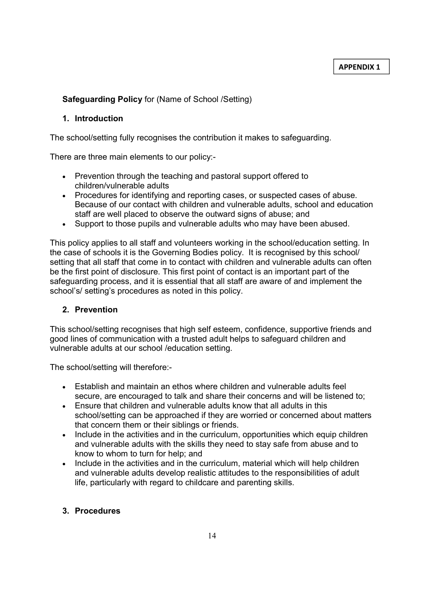## **Safeguarding Policy** for (Name of School /Setting)

#### **1. Introduction**

The school/setting fully recognises the contribution it makes to safeguarding.

There are three main elements to our policy:-

- Prevention through the teaching and pastoral support offered to children/vulnerable adults
- Procedures for identifying and reporting cases, or suspected cases of abuse. Because of our contact with children and vulnerable adults, school and education staff are well placed to observe the outward signs of abuse; and
- Support to those pupils and vulnerable adults who may have been abused.

This policy applies to all staff and volunteers working in the school/education setting. In the case of schools it is the Governing Bodies policy. It is recognised by this school/ setting that all staff that come in to contact with children and vulnerable adults can often be the first point of disclosure. This first point of contact is an important part of the safeguarding process, and it is essential that all staff are aware of and implement the school's/ setting's procedures as noted in this policy.

#### **2. Prevention**

This school/setting recognises that high self esteem, confidence, supportive friends and good lines of communication with a trusted adult helps to safeguard children and vulnerable adults at our school /education setting.

The school/setting will therefore:-

- Establish and maintain an ethos where children and vulnerable adults feel secure, are encouraged to talk and share their concerns and will be listened to;
- Ensure that children and vulnerable adults know that all adults in this school/setting can be approached if they are worried or concerned about matters that concern them or their siblings or friends.
- Include in the activities and in the curriculum, opportunities which equip children and vulnerable adults with the skills they need to stay safe from abuse and to know to whom to turn for help; and
- Include in the activities and in the curriculum, material which will help children and vulnerable adults develop realistic attitudes to the responsibilities of adult life, particularly with regard to childcare and parenting skills.

#### **3. Procedures**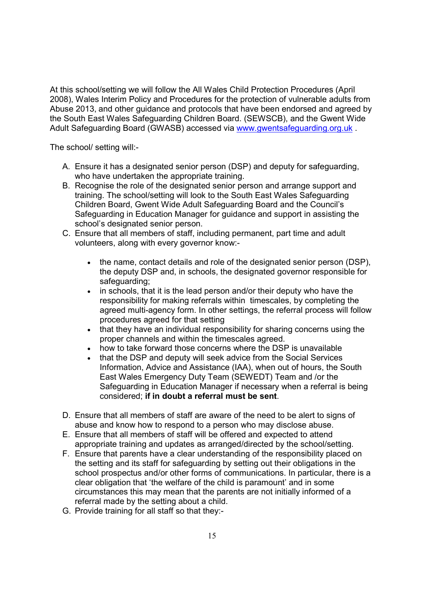At this school/setting we will follow the All Wales Child Protection Procedures (April 2008), Wales Interim Policy and Procedures for the protection of vulnerable adults from Abuse 2013, and other guidance and protocols that have been endorsed and agreed by the South East Wales Safeguarding Children Board. (SEWSCB), and the Gwent Wide Adult Safeguarding Board (GWASB) accessed via www.gwentsafeguarding.org.uk.

The school/ setting will:-

- A. Ensure it has a designated senior person (DSP) and deputy for safeguarding, who have undertaken the appropriate training.
- B. Recognise the role of the designated senior person and arrange support and training. The school/setting will look to the South East Wales Safeguarding Children Board, Gwent Wide Adult Safeguarding Board and the Council's Safeguarding in Education Manager for guidance and support in assisting the school's designated senior person.
- C. Ensure that all members of staff, including permanent, part time and adult volunteers, along with every governor know:-
	- the name, contact details and role of the designated senior person (DSP), the deputy DSP and, in schools, the designated governor responsible for safeguarding;
	- in schools, that it is the lead person and/or their deputy who have the responsibility for making referrals within timescales, by completing the agreed multi-agency form. In other settings, the referral process will follow procedures agreed for that setting
	- that they have an individual responsibility for sharing concerns using the proper channels and within the timescales agreed.
	- how to take forward those concerns where the DSP is unavailable
	- that the DSP and deputy will seek advice from the Social Services Information, Advice and Assistance (IAA), when out of hours, the South East Wales Emergency Duty Team (SEWEDT) Team and /or the Safeguarding in Education Manager if necessary when a referral is being considered; **if in doubt a referral must be sent**.
- D. Ensure that all members of staff are aware of the need to be alert to signs of abuse and know how to respond to a person who may disclose abuse.
- E. Ensure that all members of staff will be offered and expected to attend appropriate training and updates as arranged/directed by the school/setting.
- F. Ensure that parents have a clear understanding of the responsibility placed on the setting and its staff for safeguarding by setting out their obligations in the school prospectus and/or other forms of communications. In particular, there is a clear obligation that 'the welfare of the child is paramount' and in some circumstances this may mean that the parents are not initially informed of a referral made by the setting about a child.
- G. Provide training for all staff so that they:-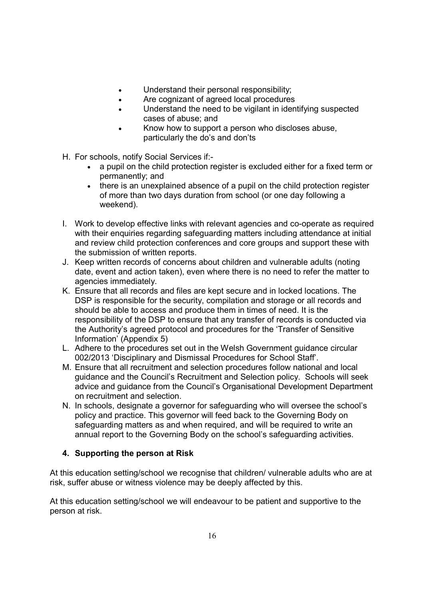- Understand their personal responsibility;
- Are cognizant of agreed local procedures
- Understand the need to be vigilant in identifying suspected cases of abuse; and
- Know how to support a person who discloses abuse, particularly the do's and don'ts
- H. For schools, notify Social Services if:-
	- a pupil on the child protection register is excluded either for a fixed term or permanently; and
	- there is an unexplained absence of a pupil on the child protection register of more than two days duration from school (or one day following a weekend).
- I. Work to develop effective links with relevant agencies and co-operate as required with their enquiries regarding safeguarding matters including attendance at initial and review child protection conferences and core groups and support these with the submission of written reports.
- J. Keep written records of concerns about children and vulnerable adults (noting date, event and action taken), even where there is no need to refer the matter to agencies immediately.
- K. Ensure that all records and files are kept secure and in locked locations. The DSP is responsible for the security, compilation and storage or all records and should be able to access and produce them in times of need. It is the responsibility of the DSP to ensure that any transfer of records is conducted via the Authority's agreed protocol and procedures for the 'Transfer of Sensitive Information' (Appendix 5)
- L. Adhere to the procedures set out in the Welsh Government guidance circular 002/2013 'Disciplinary and Dismissal Procedures for School Staff'.
- M. Ensure that all recruitment and selection procedures follow national and local guidance and the Council's Recruitment and Selection policy. Schools will seek advice and guidance from the Council's Organisational Development Department on recruitment and selection.
- N. In schools, designate a governor for safeguarding who will oversee the school's policy and practice. This governor will feed back to the Governing Body on safeguarding matters as and when required, and will be required to write an annual report to the Governing Body on the school's safeguarding activities.

## **4. Supporting the person at Risk**

At this education setting/school we recognise that children/ vulnerable adults who are at risk, suffer abuse or witness violence may be deeply affected by this.

At this education setting/school we will endeavour to be patient and supportive to the person at risk.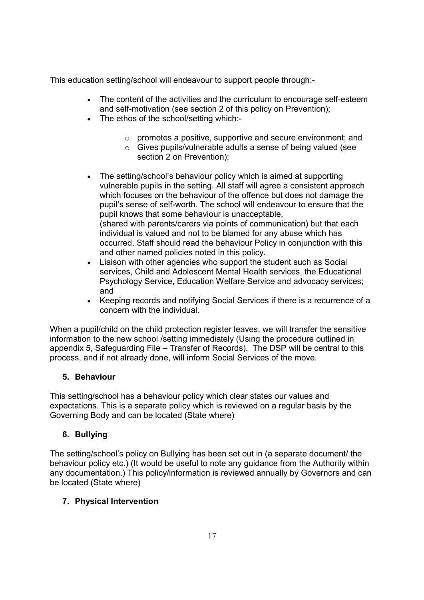This education setting/school will endeavour to support people through:-

- The content of the activities and the curriculum to encourage self-esteem and self-motivation (see section 2 of this policy on Prevention);
- The ethos of the school/setting which:
	- o promotes a positive, supportive and secure environment; and
	- o Gives pupils/vulnerable adults a sense of being valued (see section 2 on Prevention);
- The setting/school's behaviour policy which is aimed at supporting vulnerable pupils in the setting. All staff will agree a consistent approach which focuses on the behaviour of the offence but does not damage the pupil's sense of self-worth. The school will endeavour to ensure that the pupil knows that some behaviour is unacceptable, (shared with parents/carers via points of communication) but that each individual is valued and not to be blamed for any abuse which has occurred. Staff should read the behaviour Policy in conjunction with this and other named policies noted in this policy.
- Liaison with other agencies who support the student such as Social services, Child and Adolescent Mental Health services, the Educational Psychology Service, Education Welfare Service and advocacy services; and
- Keeping records and notifying Social Services if there is a recurrence of a concern with the individual.

When a pupil/child on the child protection register leaves, we will transfer the sensitive information to the new school /setting immediately (Using the procedure outlined in appendix 5, Safeguarding File – Transfer of Records). The DSP will be central to this process, and if not already done, will inform Social Services of the move.

## **5. Behaviour**

This setting/school has a behaviour policy which clear states our values and expectations. This is a separate policy which is reviewed on a regular basis by the Governing Body and can be located (State where)

## **6. Bullying**

The setting/school's policy on Bullying has been set out in (a separate document/ the behaviour policy etc.) (It would be useful to note any guidance from the Authority within any documentation.) This policy/information is reviewed annually by Governors and can be located (State where)

## **7. Physical Intervention**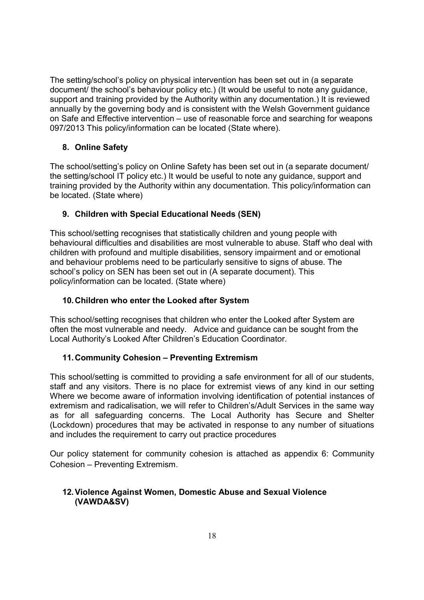The setting/school's policy on physical intervention has been set out in (a separate document/ the school's behaviour policy etc.) (It would be useful to note any guidance, support and training provided by the Authority within any documentation.) It is reviewed annually by the governing body and is consistent with the Welsh Government guidance on Safe and Effective intervention – use of reasonable force and searching for weapons 097/2013 This policy/information can be located (State where).

## **8. Online Safety**

The school/setting's policy on Online Safety has been set out in (a separate document/ the setting/school IT policy etc.) It would be useful to note any guidance, support and training provided by the Authority within any documentation. This policy/information can be located. (State where)

## **9. Children with Special Educational Needs (SEN)**

This school/setting recognises that statistically children and young people with behavioural difficulties and disabilities are most vulnerable to abuse. Staff who deal with children with profound and multiple disabilities, sensory impairment and or emotional and behaviour problems need to be particularly sensitive to signs of abuse. The school's policy on SEN has been set out in (A separate document). This policy/information can be located. (State where)

## **10. Children who enter the Looked after System**

This school/setting recognises that children who enter the Looked after System are often the most vulnerable and needy. Advice and guidance can be sought from the Local Authority's Looked After Children's Education Coordinator.

## **11. Community Cohesion – Preventing Extremism**

This school/setting is committed to providing a safe environment for all of our students, staff and any visitors. There is no place for extremist views of any kind in our setting Where we become aware of information involving identification of potential instances of extremism and radicalisation, we will refer to Children's/Adult Services in the same way as for all safeguarding concerns. The Local Authority has Secure and Shelter (Lockdown) procedures that may be activated in response to any number of situations and includes the requirement to carry out practice procedures

Our policy statement for community cohesion is attached as appendix 6: Community Cohesion – Preventing Extremism.

## **12. Violence Against Women, Domestic Abuse and Sexual Violence (VAWDA&SV)**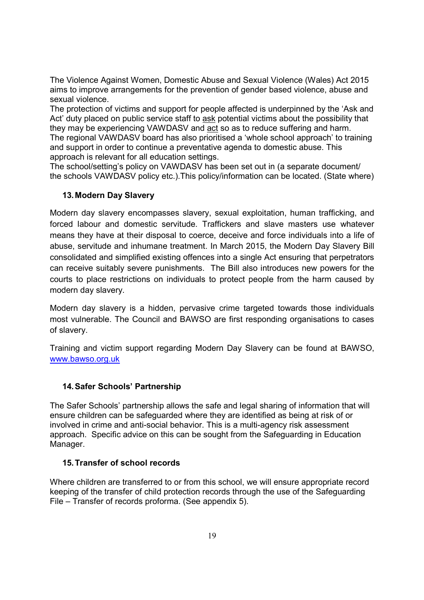The Violence Against Women, Domestic Abuse and Sexual Violence (Wales) Act 2015 aims to improve arrangements for the prevention of gender based violence, abuse and sexual violence.

The protection of victims and support for people affected is underpinned by the 'Ask and Act' duty placed on public service staff to ask potential victims about the possibility that they may be experiencing VAWDASV and act so as to reduce suffering and harm. The regional VAWDASV board has also prioritised a 'whole school approach' to training and support in order to continue a preventative agenda to domestic abuse. This approach is relevant for all education settings.

The school/setting's policy on VAWDASV has been set out in (a separate document/ the schools VAWDASV policy etc.).This policy/information can be located. (State where)

## **13. Modern Day Slavery**

Modern day slavery encompasses slavery, sexual exploitation, human trafficking, and forced labour and domestic servitude. Traffickers and slave masters use whatever means they have at their disposal to coerce, deceive and force individuals into a life of abuse, servitude and inhumane treatment. In March 2015, the Modern Day Slavery Bill consolidated and simplified existing offences into a single Act ensuring that perpetrators can receive suitably severe punishments. The Bill also introduces new powers for the courts to place restrictions on individuals to protect people from the harm caused by modern day slavery.

Modern day slavery is a hidden, pervasive crime targeted towards those individuals most vulnerable. The Council and BAWSO are first responding organisations to cases of slavery.

Training and victim support regarding Modern Day Slavery can be found at BAWSO, www.bawso.org.uk

## **14. Safer Schools' Partnership**

The Safer Schools' partnership allows the safe and legal sharing of information that will ensure children can be safeguarded where they are identified as being at risk of or involved in crime and anti-social behavior. This is a multi-agency risk assessment approach. Specific advice on this can be sought from the Safeguarding in Education Manager.

#### **15. Transfer of school records**

Where children are transferred to or from this school, we will ensure appropriate record keeping of the transfer of child protection records through the use of the Safeguarding File – Transfer of records proforma. (See appendix 5).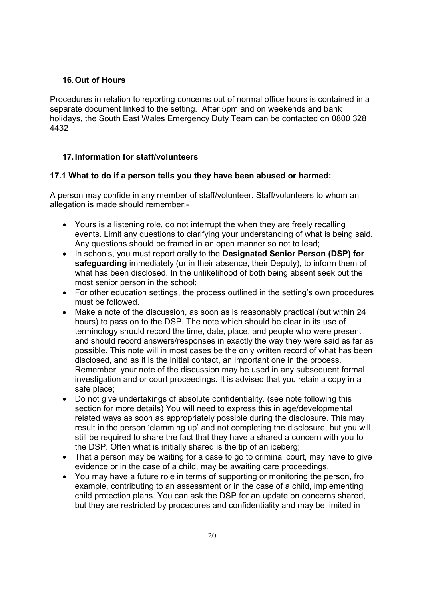#### **16. Out of Hours**

Procedures in relation to reporting concerns out of normal office hours is contained in a separate document linked to the setting. After 5pm and on weekends and bank holidays, the South East Wales Emergency Duty Team can be contacted on 0800 328 4432

#### **17. Information for staff/volunteers**

#### **17.1 What to do if a person tells you they have been abused or harmed:**

A person may confide in any member of staff/volunteer. Staff/volunteers to whom an allegation is made should remember:-

- Yours is a listening role, do not interrupt the when they are freely recalling events. Limit any questions to clarifying your understanding of what is being said. Any questions should be framed in an open manner so not to lead;
- In schools, you must report orally to the **Designated Senior Person (DSP) for safeguarding** immediately (or in their absence, their Deputy), to inform them of what has been disclosed. In the unlikelihood of both being absent seek out the most senior person in the school;
- For other education settings, the process outlined in the setting's own procedures must be followed.
- Make a note of the discussion, as soon as is reasonably practical (but within 24 hours) to pass on to the DSP. The note which should be clear in its use of terminology should record the time, date, place, and people who were present and should record answers/responses in exactly the way they were said as far as possible. This note will in most cases be the only written record of what has been disclosed, and as it is the initial contact, an important one in the process. Remember, your note of the discussion may be used in any subsequent formal investigation and or court proceedings. It is advised that you retain a copy in a safe place;
- Do not give undertakings of absolute confidentiality. (see note following this section for more details) You will need to express this in age/developmental related ways as soon as appropriately possible during the disclosure. This may result in the person 'clamming up' and not completing the disclosure, but you will still be required to share the fact that they have a shared a concern with you to the DSP. Often what is initially shared is the tip of an iceberg;
- That a person may be waiting for a case to go to criminal court, may have to give evidence or in the case of a child, may be awaiting care proceedings.
- You may have a future role in terms of supporting or monitoring the person, fro example, contributing to an assessment or in the case of a child, implementing child protection plans. You can ask the DSP for an update on concerns shared, but they are restricted by procedures and confidentiality and may be limited in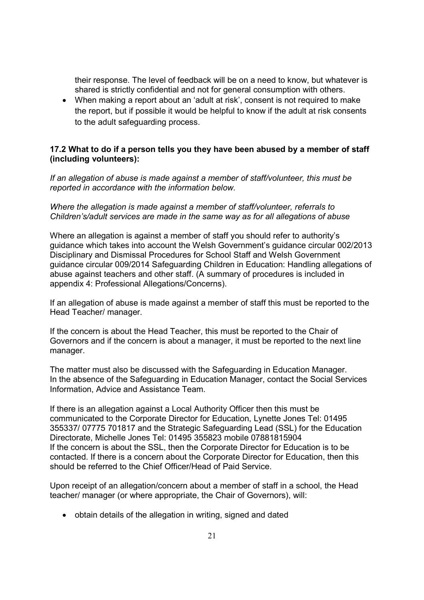their response. The level of feedback will be on a need to know, but whatever is shared is strictly confidential and not for general consumption with others.

• When making a report about an 'adult at risk', consent is not required to make the report, but if possible it would be helpful to know if the adult at risk consents to the adult safeguarding process.

## **17.2 What to do if a person tells you they have been abused by a member of staff (including volunteers):**

*If an allegation of abuse is made against a member of staff/volunteer, this must be reported in accordance with the information below.* 

#### *Where the allegation is made against a member of staff/volunteer, referrals to Children's/adult services are made in the same way as for all allegations of abuse*

Where an allegation is against a member of staff you should refer to authority's guidance which takes into account the Welsh Government's guidance circular 002/2013 Disciplinary and Dismissal Procedures for School Staff and Welsh Government guidance circular 009/2014 Safeguarding Children in Education: Handling allegations of abuse against teachers and other staff. (A summary of procedures is included in appendix 4: Professional Allegations/Concerns).

If an allegation of abuse is made against a member of staff this must be reported to the Head Teacher/ manager.

If the concern is about the Head Teacher, this must be reported to the Chair of Governors and if the concern is about a manager, it must be reported to the next line manager.

The matter must also be discussed with the Safeguarding in Education Manager. In the absence of the Safeguarding in Education Manager, contact the Social Services Information, Advice and Assistance Team.

If there is an allegation against a Local Authority Officer then this must be communicated to the Corporate Director for Education, Lynette Jones Tel: 01495 355337/ 07775 701817 and the Strategic Safeguarding Lead (SSL) for the Education Directorate, Michelle Jones Tel: 01495 355823 mobile 07881815904 If the concern is about the SSL, then the Corporate Director for Education is to be contacted. If there is a concern about the Corporate Director for Education, then this should be referred to the Chief Officer/Head of Paid Service.

Upon receipt of an allegation/concern about a member of staff in a school, the Head teacher/ manager (or where appropriate, the Chair of Governors), will:

• obtain details of the allegation in writing, signed and dated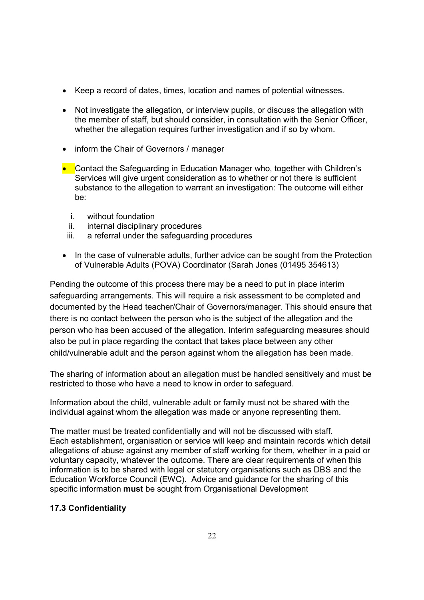- Keep a record of dates, times, location and names of potential witnesses.
- Not investigate the allegation, or interview pupils, or discuss the allegation with the member of staff, but should consider, in consultation with the Senior Officer, whether the allegation requires further investigation and if so by whom.
- inform the Chair of Governors / manager
- Contact the Safeguarding in Education Manager who, together with Children's Services will give urgent consideration as to whether or not there is sufficient substance to the allegation to warrant an investigation: The outcome will either be:
	- i. without foundation
	- ii. internal disciplinary procedures
	- iii. a referral under the safeguarding procedures
- In the case of vulnerable adults, further advice can be sought from the Protection of Vulnerable Adults (POVA) Coordinator (Sarah Jones (01495 354613)

Pending the outcome of this process there may be a need to put in place interim safeguarding arrangements. This will require a risk assessment to be completed and documented by the Head teacher/Chair of Governors/manager. This should ensure that there is no contact between the person who is the subject of the allegation and the person who has been accused of the allegation. Interim safeguarding measures should also be put in place regarding the contact that takes place between any other child/vulnerable adult and the person against whom the allegation has been made.

The sharing of information about an allegation must be handled sensitively and must be restricted to those who have a need to know in order to safeguard.

Information about the child, vulnerable adult or family must not be shared with the individual against whom the allegation was made or anyone representing them.

The matter must be treated confidentially and will not be discussed with staff. Each establishment, organisation or service will keep and maintain records which detail allegations of abuse against any member of staff working for them, whether in a paid or voluntary capacity, whatever the outcome. There are clear requirements of when this information is to be shared with legal or statutory organisations such as DBS and the Education Workforce Council (EWC). Advice and guidance for the sharing of this specific information **must** be sought from Organisational Development

## **17.3 Confidentiality**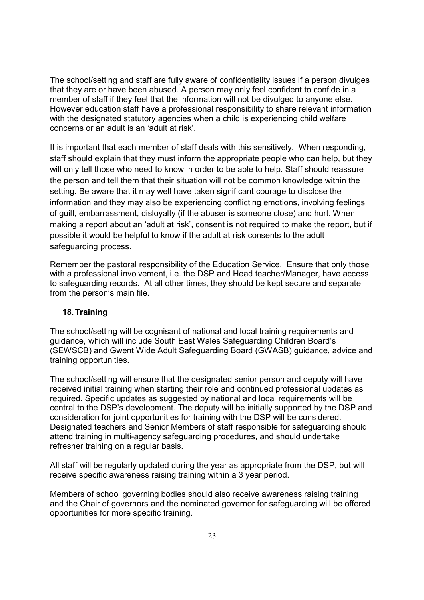The school/setting and staff are fully aware of confidentiality issues if a person divulges that they are or have been abused. A person may only feel confident to confide in a member of staff if they feel that the information will not be divulged to anyone else. However education staff have a professional responsibility to share relevant information with the designated statutory agencies when a child is experiencing child welfare concerns or an adult is an 'adult at risk'.

It is important that each member of staff deals with this sensitively. When responding, staff should explain that they must inform the appropriate people who can help, but they will only tell those who need to know in order to be able to help. Staff should reassure the person and tell them that their situation will not be common knowledge within the setting. Be aware that it may well have taken significant courage to disclose the information and they may also be experiencing conflicting emotions, involving feelings of guilt, embarrassment, disloyalty (if the abuser is someone close) and hurt. When making a report about an 'adult at risk', consent is not required to make the report, but if possible it would be helpful to know if the adult at risk consents to the adult safeguarding process.

Remember the pastoral responsibility of the Education Service. Ensure that only those with a professional involvement, i.e. the DSP and Head teacher/Manager, have access to safeguarding records. At all other times, they should be kept secure and separate from the person's main file.

#### **18. Training**

The school/setting will be cognisant of national and local training requirements and guidance, which will include South East Wales Safeguarding Children Board's (SEWSCB) and Gwent Wide Adult Safeguarding Board (GWASB) guidance, advice and training opportunities.

The school/setting will ensure that the designated senior person and deputy will have received initial training when starting their role and continued professional updates as required. Specific updates as suggested by national and local requirements will be central to the DSP's development. The deputy will be initially supported by the DSP and consideration for joint opportunities for training with the DSP will be considered. Designated teachers and Senior Members of staff responsible for safeguarding should attend training in multi-agency safeguarding procedures, and should undertake refresher training on a regular basis.

All staff will be regularly updated during the year as appropriate from the DSP, but will receive specific awareness raising training within a 3 year period.

Members of school governing bodies should also receive awareness raising training and the Chair of governors and the nominated governor for safeguarding will be offered opportunities for more specific training.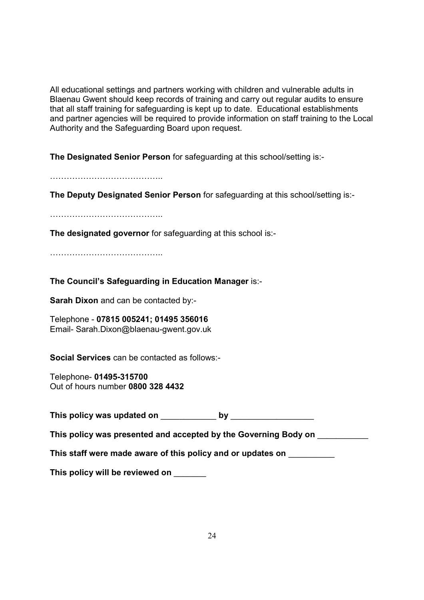All educational settings and partners working with children and vulnerable adults in Blaenau Gwent should keep records of training and carry out regular audits to ensure that all staff training for safeguarding is kept up to date. Educational establishments and partner agencies will be required to provide information on staff training to the Local Authority and the Safeguarding Board upon request.

**The Designated Senior Person** for safeguarding at this school/setting is:-

OOOOOOOOOOOOO..

**The Deputy Designated Senior Person** for safeguarding at this school/setting is:-

OOOOOOOOOOOOO..

**The designated governor** for safeguarding at this school is:-

OOOOOOOOOOOOO..

**The Council's Safeguarding in Education Manager** is:-

**Sarah Dixon** and can be contacted by:-

Telephone - **07815 005241; 01495 356016** Email- Sarah.Dixon@blaenau-gwent.gov.uk

**Social Services** can be contacted as follows:-

Telephone- **01495-315700**  Out of hours number **0800 328 4432** 

**This policy was updated on by by**  $\blacksquare$ 

**This policy was presented and accepted by the Governing Body on** \_\_\_\_\_\_\_\_\_\_\_

**This staff were made aware of this policy and or updates on** \_\_\_\_\_\_\_\_\_\_

**This policy will be reviewed on** \_\_\_\_\_\_\_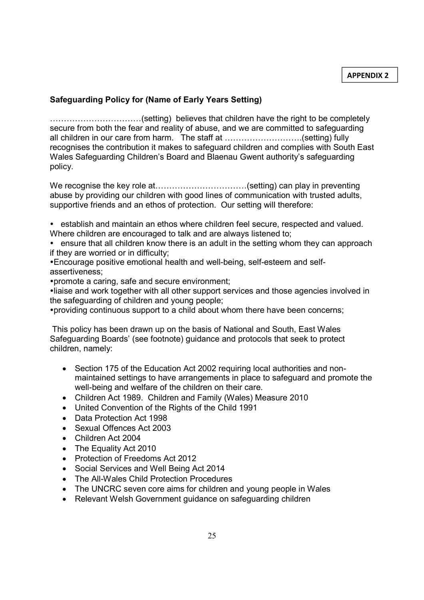## **Safeguarding Policy for (Name of Early Years Setting)**

OOOOOOOOOOO(setting) believes that children have the right to be completely secure from both the fear and reality of abuse, and we are committed to safeguarding all children in our care from harm. The staff at .............................(setting) fully recognises the contribution it makes to safeguard children and complies with South East Wales Safeguarding Children's Board and Blaenau Gwent authority's safeguarding policy.

We recognise the key role at...................................(setting) can play in preventing abuse by providing our children with good lines of communication with trusted adults, supportive friends and an ethos of protection. Our setting will therefore:

 establish and maintain an ethos where children feel secure, respected and valued. Where children are encouraged to talk and are always listened to;

• ensure that all children know there is an adult in the setting whom they can approach if they are worried or in difficulty;

Encourage positive emotional health and well-being, self-esteem and selfassertiveness;

promote a caring, safe and secure environment;

liaise and work together with all other support services and those agencies involved in the safeguarding of children and young people;

providing continuous support to a child about whom there have been concerns;

 This policy has been drawn up on the basis of National and South, East Wales Safeguarding Boards' (see footnote) guidance and protocols that seek to protect children, namely:

- Section 175 of the Education Act 2002 requiring local authorities and nonmaintained settings to have arrangements in place to safeguard and promote the well-being and welfare of the children on their care.
- Children Act 1989. Children and Family (Wales) Measure 2010
- United Convention of the Rights of the Child 1991
- Data Protection Act 1998
- Sexual Offences Act 2003
- Children Act 2004
- The Equality Act 2010
- Protection of Freedoms Act 2012
- Social Services and Well Being Act 2014
- The All-Wales Child Protection Procedures
- The UNCRC seven core aims for children and young people in Wales
- Relevant Welsh Government guidance on safeguarding children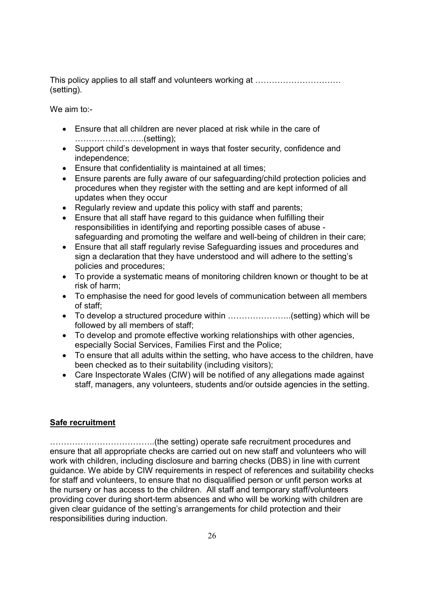This policy applies to all staff and volunteers working at OOOOOOOOOO. (setting).

We aim to:-

- Ensure that all children are never placed at risk while in the care of ............................(setting);
- Support child's development in ways that foster security, confidence and independence;
- Ensure that confidentiality is maintained at all times;
- Ensure parents are fully aware of our safeguarding/child protection policies and procedures when they register with the setting and are kept informed of all updates when they occur
- Regularly review and update this policy with staff and parents;
- Ensure that all staff have regard to this guidance when fulfilling their responsibilities in identifying and reporting possible cases of abuse safeguarding and promoting the welfare and well-being of children in their care;
- Ensure that all staff regularly revise Safeguarding issues and procedures and sign a declaration that they have understood and will adhere to the setting's policies and procedures;
- To provide a systematic means of monitoring children known or thought to be at risk of harm;
- To emphasise the need for good levels of communication between all members of staff;
- To develop a structured procedure within  $\dots\dots\dots\dots\dots\dots$  (setting) which will be followed by all members of staff;
- To develop and promote effective working relationships with other agencies, especially Social Services, Families First and the Police;
- To ensure that all adults within the setting, who have access to the children, have been checked as to their suitability (including visitors);
- Care Inspectorate Wales (CIW) will be notified of any allegations made against staff, managers, any volunteers, students and/or outside agencies in the setting.

## **Safe recruitment**

OOOOOOOOOOOO..(the setting) operate safe recruitment procedures and ensure that all appropriate checks are carried out on new staff and volunteers who will work with children, including disclosure and barring checks (DBS) in line with current guidance. We abide by CIW requirements in respect of references and suitability checks for staff and volunteers, to ensure that no disqualified person or unfit person works at the nursery or has access to the children. All staff and temporary staff/volunteers providing cover during short-term absences and who will be working with children are given clear guidance of the setting's arrangements for child protection and their responsibilities during induction.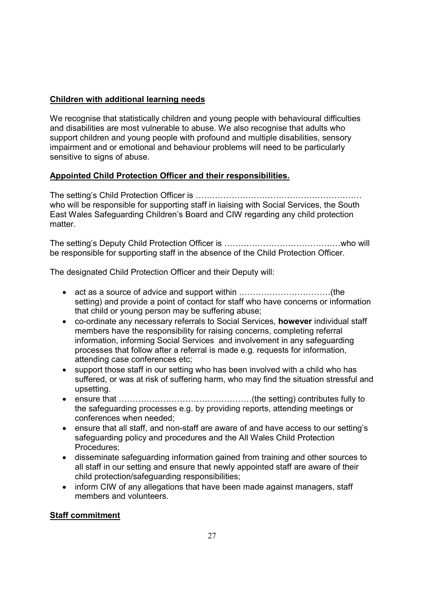## **Children with additional learning needs**

We recognise that statistically children and young people with behavioural difficulties and disabilities are most vulnerable to abuse. We also recognise that adults who support children and young people with profound and multiple disabilities, sensory impairment and or emotional and behaviour problems will need to be particularly sensitive to signs of abuse.

## **Appointed Child Protection Officer and their responsibilities.**

The setting's Child Protection Officer is OOOOOOOOOOOOOOOOOOOO who will be responsible for supporting staff in liaising with Social Services, the South East Wales Safeguarding Children's Board and CIW regarding any child protection matter.

The setting's Deputy Child Protection Officer is OOOOOOOOOOOOOOwho will be responsible for supporting staff in the absence of the Child Protection Officer.

The designated Child Protection Officer and their Deputy will:

- act as a source of advice and support within OOOOOOOOOOO(the setting) and provide a point of contact for staff who have concerns or information that child or young person may be suffering abuse;
- co-ordinate any necessary referrals to Social Services, **however** individual staff members have the responsibility for raising concerns, completing referral information, informing Social Services and involvement in any safeguarding processes that follow after a referral is made e.g. requests for information, attending case conferences etc;
- support those staff in our setting who has been involved with a child who has suffered, or was at risk of suffering harm, who may find the situation stressful and upsetting.
- ensure that OOOOOOOOOOOOOOOO(the setting) contributes fully to the safeguarding processes e.g. by providing reports, attending meetings or conferences when needed;
- ensure that all staff, and non-staff are aware of and have access to our setting's safeguarding policy and procedures and the All Wales Child Protection Procedures;
- disseminate safeguarding information gained from training and other sources to all staff in our setting and ensure that newly appointed staff are aware of their child protection/safeguarding responsibilities;
- inform CIW of any allegations that have been made against managers, staff members and volunteers.

## **Staff commitment**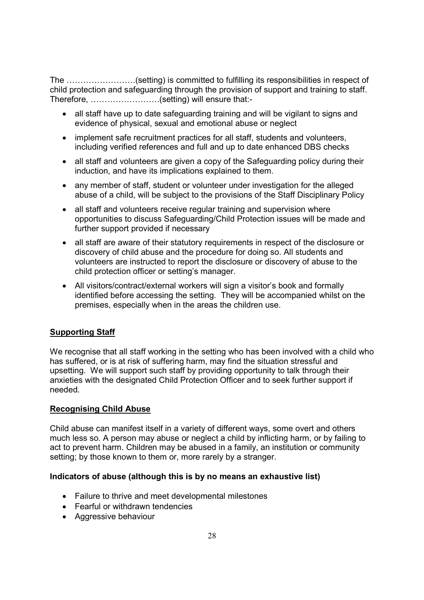The ..........................(setting) is committed to fulfilling its responsibilities in respect of child protection and safeguarding through the provision of support and training to staff. Therefore, ............................(setting) will ensure that:-

- all staff have up to date safeguarding training and will be vigilant to signs and evidence of physical, sexual and emotional abuse or neglect
- implement safe recruitment practices for all staff, students and volunteers, including verified references and full and up to date enhanced DBS checks
- all staff and volunteers are given a copy of the Safeguarding policy during their induction, and have its implications explained to them.
- any member of staff, student or volunteer under investigation for the alleged abuse of a child, will be subject to the provisions of the Staff Disciplinary Policy
- all staff and volunteers receive regular training and supervision where opportunities to discuss Safeguarding/Child Protection issues will be made and further support provided if necessary
- all staff are aware of their statutory requirements in respect of the disclosure or discovery of child abuse and the procedure for doing so. All students and volunteers are instructed to report the disclosure or discovery of abuse to the child protection officer or setting's manager.
- All visitors/contract/external workers will sign a visitor's book and formally identified before accessing the setting. They will be accompanied whilst on the premises, especially when in the areas the children use.

## **Supporting Staff**

We recognise that all staff working in the setting who has been involved with a child who has suffered, or is at risk of suffering harm, may find the situation stressful and upsetting. We will support such staff by providing opportunity to talk through their anxieties with the designated Child Protection Officer and to seek further support if needed.

## **Recognising Child Abuse**

Child abuse can manifest itself in a variety of different ways, some overt and others much less so. A person may abuse or neglect a child by inflicting harm, or by failing to act to prevent harm. Children may be abused in a family, an institution or community setting; by those known to them or, more rarely by a stranger.

#### **Indicators of abuse (although this is by no means an exhaustive list)**

- Failure to thrive and meet developmental milestones
- Fearful or withdrawn tendencies
- Aggressive behaviour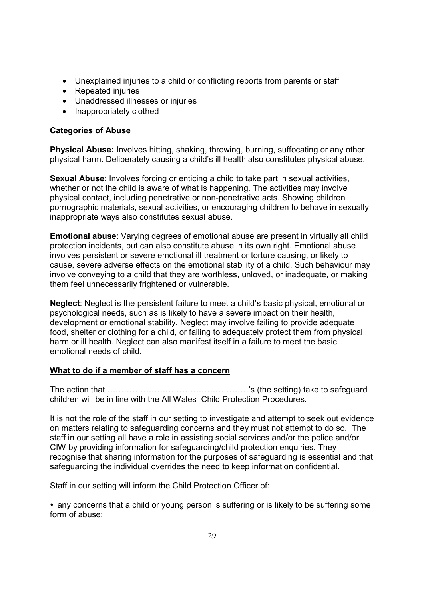- Unexplained injuries to a child or conflicting reports from parents or staff
- Repeated injuries
- Unaddressed illnesses or injuries
- Inappropriately clothed

## **Categories of Abuse**

**Physical Abuse:** Involves hitting, shaking, throwing, burning, suffocating or any other physical harm. Deliberately causing a child's ill health also constitutes physical abuse.

**Sexual Abuse**: Involves forcing or enticing a child to take part in sexual activities, whether or not the child is aware of what is happening. The activities may involve physical contact, including penetrative or non-penetrative acts. Showing children pornographic materials, sexual activities, or encouraging children to behave in sexually inappropriate ways also constitutes sexual abuse.

**Emotional abuse**: Varying degrees of emotional abuse are present in virtually all child protection incidents, but can also constitute abuse in its own right. Emotional abuse involves persistent or severe emotional ill treatment or torture causing, or likely to cause, severe adverse effects on the emotional stability of a child. Such behaviour may involve conveying to a child that they are worthless, unloved, or inadequate, or making them feel unnecessarily frightened or vulnerable.

**Neglect**: Neglect is the persistent failure to meet a child's basic physical, emotional or psychological needs, such as is likely to have a severe impact on their health, development or emotional stability. Neglect may involve failing to provide adequate food, shelter or clothing for a child, or failing to adequately protect them from physical harm or ill health. Neglect can also manifest itself in a failure to meet the basic emotional needs of child.

## **What to do if a member of staff has a concern**

The action that OOOOOOOOOOOOOOOOO's (the setting) take to safeguard children will be in line with the All Wales Child Protection Procedures.

It is not the role of the staff in our setting to investigate and attempt to seek out evidence on matters relating to safeguarding concerns and they must not attempt to do so. The staff in our setting all have a role in assisting social services and/or the police and/or CIW by providing information for safeguarding/child protection enquiries. They recognise that sharing information for the purposes of safeguarding is essential and that safeguarding the individual overrides the need to keep information confidential.

Staff in our setting will inform the Child Protection Officer of:

 any concerns that a child or young person is suffering or is likely to be suffering some form of abuse;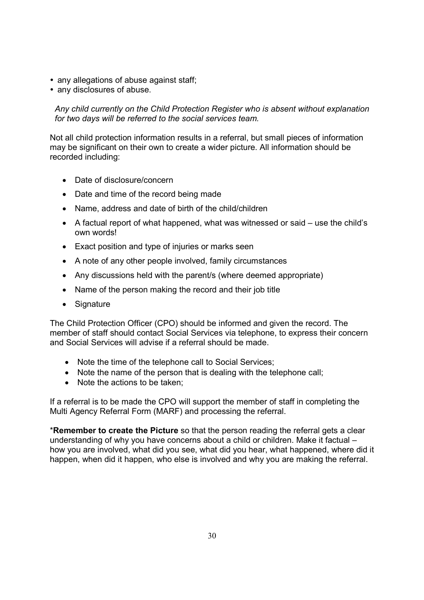- any allegations of abuse against staff;
- any disclosures of abuse.

*Any child currently on the Child Protection Register who is absent without explanation for two days will be referred to the social services team.* 

Not all child protection information results in a referral, but small pieces of information may be significant on their own to create a wider picture. All information should be recorded including:

- Date of disclosure/concern
- Date and time of the record being made
- Name, address and date of birth of the child/children
- A factual report of what happened, what was witnessed or said use the child's own words!
- Exact position and type of injuries or marks seen
- A note of any other people involved, family circumstances
- Any discussions held with the parent/s (where deemed appropriate)
- Name of the person making the record and their job title
- Signature

The Child Protection Officer (CPO) should be informed and given the record. The member of staff should contact Social Services via telephone, to express their concern and Social Services will advise if a referral should be made.

- Note the time of the telephone call to Social Services;
- Note the name of the person that is dealing with the telephone call:
- Note the actions to be taken:

If a referral is to be made the CPO will support the member of staff in completing the Multi Agency Referral Form (MARF) and processing the referral.

\***Remember to create the Picture** so that the person reading the referral gets a clear understanding of why you have concerns about a child or children. Make it factual – how you are involved, what did you see, what did you hear, what happened, where did it happen, when did it happen, who else is involved and why you are making the referral.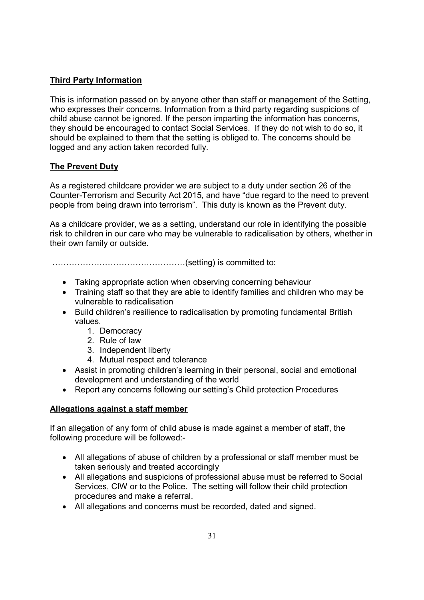## **Third Party Information**

This is information passed on by anyone other than staff or management of the Setting, who expresses their concerns. Information from a third party regarding suspicions of child abuse cannot be ignored. If the person imparting the information has concerns, they should be encouraged to contact Social Services. If they do not wish to do so, it should be explained to them that the setting is obliged to. The concerns should be logged and any action taken recorded fully.

## **The Prevent Duty**

As a registered childcare provider we are subject to a duty under section 26 of the Counter-Terrorism and Security Act 2015, and have "due regard to the need to prevent people from being drawn into terrorism". This duty is known as the Prevent duty.

As a childcare provider, we as a setting, understand our role in identifying the possible risk to children in our care who may be vulnerable to radicalisation by others, whether in their own family or outside.

OOOOOOOOOOOOOOOO(setting) is committed to:

- Taking appropriate action when observing concerning behaviour
- Training staff so that they are able to identify families and children who may be vulnerable to radicalisation
- Build children's resilience to radicalisation by promoting fundamental British values.
	- 1. Democracy
	- 2. Rule of law
	- 3. Independent liberty
	- 4. Mutual respect and tolerance
- Assist in promoting children's learning in their personal, social and emotional development and understanding of the world
- Report any concerns following our setting's Child protection Procedures

## **Allegations against a staff member**

If an allegation of any form of child abuse is made against a member of staff, the following procedure will be followed:-

- All allegations of abuse of children by a professional or staff member must be taken seriously and treated accordingly
- All allegations and suspicions of professional abuse must be referred to Social Services, CIW or to the Police. The setting will follow their child protection procedures and make a referral.
- All allegations and concerns must be recorded, dated and signed.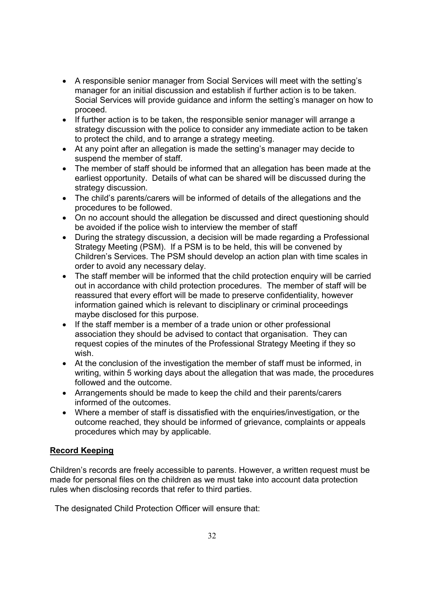- A responsible senior manager from Social Services will meet with the setting's manager for an initial discussion and establish if further action is to be taken. Social Services will provide guidance and inform the setting's manager on how to proceed.
- If further action is to be taken, the responsible senior manager will arrange a strategy discussion with the police to consider any immediate action to be taken to protect the child, and to arrange a strategy meeting.
- At any point after an allegation is made the setting's manager may decide to suspend the member of staff.
- The member of staff should be informed that an allegation has been made at the earliest opportunity. Details of what can be shared will be discussed during the strategy discussion.
- The child's parents/carers will be informed of details of the allegations and the procedures to be followed.
- On no account should the allegation be discussed and direct questioning should be avoided if the police wish to interview the member of staff
- During the strategy discussion, a decision will be made regarding a Professional Strategy Meeting (PSM). If a PSM is to be held, this will be convened by Children's Services. The PSM should develop an action plan with time scales in order to avoid any necessary delay.
- The staff member will be informed that the child protection enquiry will be carried out in accordance with child protection procedures. The member of staff will be reassured that every effort will be made to preserve confidentiality, however information gained which is relevant to disciplinary or criminal proceedings maybe disclosed for this purpose.
- If the staff member is a member of a trade union or other professional association they should be advised to contact that organisation. They can request copies of the minutes of the Professional Strategy Meeting if they so wish.
- At the conclusion of the investigation the member of staff must be informed, in writing, within 5 working days about the allegation that was made, the procedures followed and the outcome.
- Arrangements should be made to keep the child and their parents/carers informed of the outcomes.
- Where a member of staff is dissatisfied with the enquiries/investigation, or the outcome reached, they should be informed of grievance, complaints or appeals procedures which may by applicable.

## **Record Keeping**

Children's records are freely accessible to parents. However, a written request must be made for personal files on the children as we must take into account data protection rules when disclosing records that refer to third parties.

The designated Child Protection Officer will ensure that: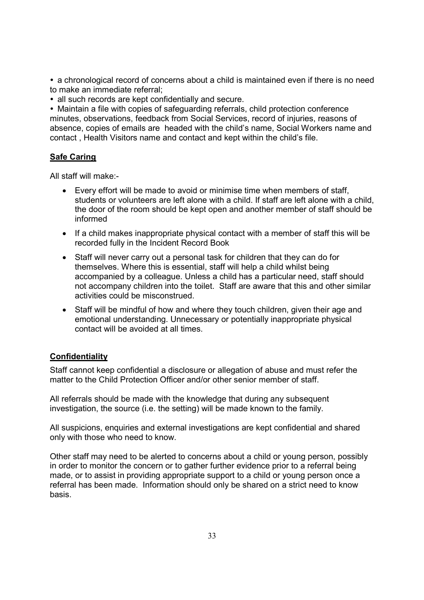a chronological record of concerns about a child is maintained even if there is no need to make an immediate referral;

• all such records are kept confidentially and secure.

 Maintain a file with copies of safeguarding referrals, child protection conference minutes, observations, feedback from Social Services, record of injuries, reasons of absence, copies of emails are headed with the child's name, Social Workers name and contact , Health Visitors name and contact and kept within the child's file.

## **Safe Caring**

All staff will make:-

- Every effort will be made to avoid or minimise time when members of staff, students or volunteers are left alone with a child. If staff are left alone with a child, the door of the room should be kept open and another member of staff should be informed
- If a child makes inappropriate physical contact with a member of staff this will be recorded fully in the Incident Record Book
- Staff will never carry out a personal task for children that they can do for themselves. Where this is essential, staff will help a child whilst being accompanied by a colleague. Unless a child has a particular need, staff should not accompany children into the toilet. Staff are aware that this and other similar activities could be misconstrued.
- Staff will be mindful of how and where they touch children, given their age and emotional understanding. Unnecessary or potentially inappropriate physical contact will be avoided at all times.

## **Confidentiality**

Staff cannot keep confidential a disclosure or allegation of abuse and must refer the matter to the Child Protection Officer and/or other senior member of staff.

All referrals should be made with the knowledge that during any subsequent investigation, the source (i.e. the setting) will be made known to the family.

All suspicions, enquiries and external investigations are kept confidential and shared only with those who need to know.

Other staff may need to be alerted to concerns about a child or young person, possibly in order to monitor the concern or to gather further evidence prior to a referral being made, or to assist in providing appropriate support to a child or young person once a referral has been made. Information should only be shared on a strict need to know basis.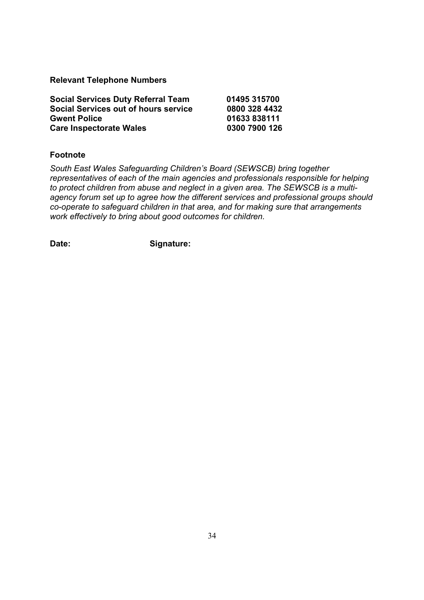**Relevant Telephone Numbers** 

| <b>Social Services Duty Referral Team</b> | 01495 315700  |
|-------------------------------------------|---------------|
| Social Services out of hours service      | 0800 328 4432 |
| <b>Gwent Police</b>                       | 01633838111   |
| <b>Care Inspectorate Wales</b>            | 0300 7900 126 |

#### **Footnote**

*South East Wales Safeguarding Children's Board (SEWSCB) bring together representatives of each of the main agencies and professionals responsible for helping to protect children from abuse and neglect in a given area. The SEWSCB is a multiagency forum set up to agree how the different services and professional groups should co-operate to safeguard children in that area, and for making sure that arrangements work effectively to bring about good outcomes for children.* 

Date: Signature: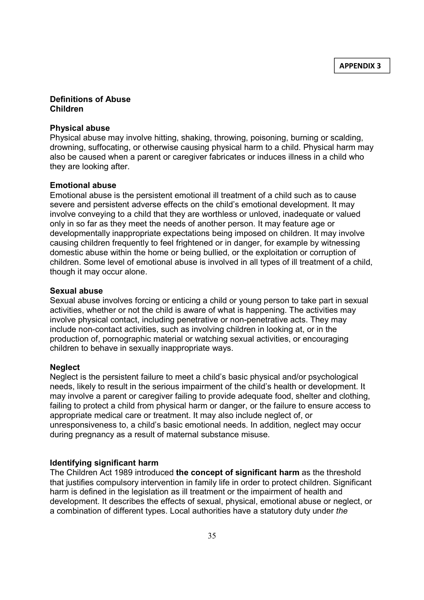#### **Definitions of Abuse Children**

#### **Physical abuse**

Physical abuse may involve hitting, shaking, throwing, poisoning, burning or scalding, drowning, suffocating, or otherwise causing physical harm to a child. Physical harm may also be caused when a parent or caregiver fabricates or induces illness in a child who they are looking after.

#### **Emotional abuse**

Emotional abuse is the persistent emotional ill treatment of a child such as to cause severe and persistent adverse effects on the child's emotional development. It may involve conveying to a child that they are worthless or unloved, inadequate or valued only in so far as they meet the needs of another person. It may feature age or developmentally inappropriate expectations being imposed on children. It may involve causing children frequently to feel frightened or in danger, for example by witnessing domestic abuse within the home or being bullied, or the exploitation or corruption of children. Some level of emotional abuse is involved in all types of ill treatment of a child, though it may occur alone.

#### **Sexual abuse**

Sexual abuse involves forcing or enticing a child or young person to take part in sexual activities, whether or not the child is aware of what is happening. The activities may involve physical contact, including penetrative or non-penetrative acts. They may include non-contact activities, such as involving children in looking at, or in the production of, pornographic material or watching sexual activities, or encouraging children to behave in sexually inappropriate ways.

#### **Neglect**

Neglect is the persistent failure to meet a child's basic physical and/or psychological needs, likely to result in the serious impairment of the child's health or development. It may involve a parent or caregiver failing to provide adequate food, shelter and clothing, failing to protect a child from physical harm or danger, or the failure to ensure access to appropriate medical care or treatment. It may also include neglect of, or unresponsiveness to, a child's basic emotional needs. In addition, neglect may occur during pregnancy as a result of maternal substance misuse.

#### **Identifying significant harm**

The Children Act 1989 introduced **the concept of significant harm** as the threshold that justifies compulsory intervention in family life in order to protect children. Significant harm is defined in the legislation as ill treatment or the impairment of health and development. It describes the effects of sexual, physical, emotional abuse or neglect, or a combination of different types. Local authorities have a statutory duty under *the*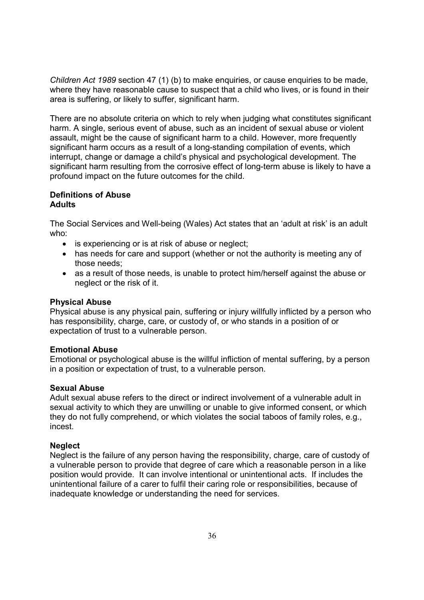*Children Act 1989* section 47 (1) (b) to make enquiries, or cause enquiries to be made, where they have reasonable cause to suspect that a child who lives, or is found in their area is suffering, or likely to suffer, significant harm.

There are no absolute criteria on which to rely when judging what constitutes significant harm. A single, serious event of abuse, such as an incident of sexual abuse or violent assault, might be the cause of significant harm to a child. However, more frequently significant harm occurs as a result of a long-standing compilation of events, which interrupt, change or damage a child's physical and psychological development. The significant harm resulting from the corrosive effect of long-term abuse is likely to have a profound impact on the future outcomes for the child.

#### **Definitions of Abuse Adults**

The Social Services and Well-being (Wales) Act states that an 'adult at risk' is an adult who:

- is experiencing or is at risk of abuse or neglect;
- has needs for care and support (whether or not the authority is meeting any of those needs;
- as a result of those needs, is unable to protect him/herself against the abuse or neglect or the risk of it.

#### **Physical Abuse**

Physical abuse is any physical pain, suffering or injury willfully inflicted by a person who has responsibility, charge, care, or custody of, or who stands in a position of or expectation of trust to a vulnerable person.

#### **Emotional Abuse**

Emotional or psychological abuse is the willful infliction of mental suffering, by a person in a position or expectation of trust, to a vulnerable person.

#### **Sexual Abuse**

Adult sexual abuse refers to the direct or indirect involvement of a vulnerable adult in sexual activity to which they are unwilling or unable to give informed consent, or which they do not fully comprehend, or which violates the social taboos of family roles, e.g., incest.

#### **Neglect**

Neglect is the failure of any person having the responsibility, charge, care of custody of a vulnerable person to provide that degree of care which a reasonable person in a like position would provide. It can involve intentional or unintentional acts. If includes the unintentional failure of a carer to fulfil their caring role or responsibilities, because of inadequate knowledge or understanding the need for services.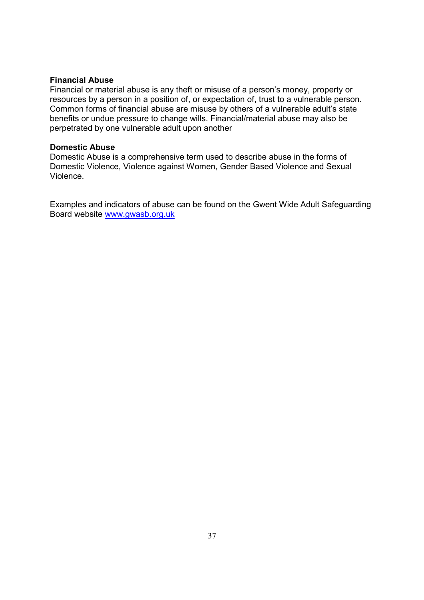#### **Financial Abuse**

Financial or material abuse is any theft or misuse of a person's money, property or resources by a person in a position of, or expectation of, trust to a vulnerable person. Common forms of financial abuse are misuse by others of a vulnerable adult's state benefits or undue pressure to change wills. Financial/material abuse may also be perpetrated by one vulnerable adult upon another

#### **Domestic Abuse**

Domestic Abuse is a comprehensive term used to describe abuse in the forms of Domestic Violence, Violence against Women, Gender Based Violence and Sexual Violence.

Examples and indicators of abuse can be found on the Gwent Wide Adult Safeguarding Board website www.gwasb.org.uk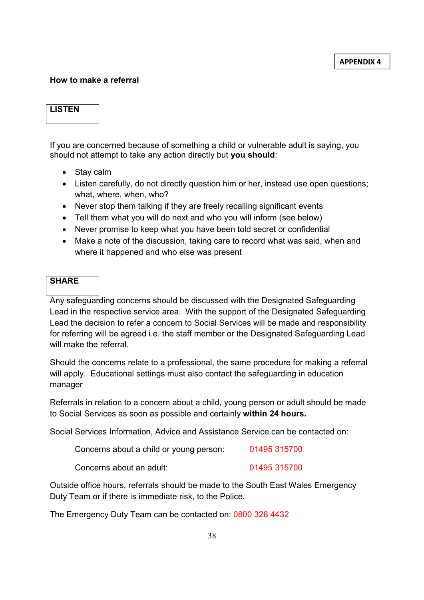#### **How to make a referral**

#### **LISTEN**

If you are concerned because of something a child or vulnerable adult is saying, you should not attempt to take any action directly but **you should**:

- Stay calm
- Listen carefully, do not directly question him or her, instead use open questions; what, where, when, who?
- Never stop them talking if they are freely recalling significant events
- Tell them what you will do next and who you will inform (see below)
- Never promise to keep what you have been told secret or confidential
- Make a note of the discussion, taking care to record what was said, when and where it happened and who else was present

#### **SHARE**

Any safeguarding concerns should be discussed with the Designated Safeguarding Lead in the respective service area. With the support of the Designated Safeguarding Lead the decision to refer a concern to Social Services will be made and responsibility for referring will be agreed i.e. the staff member or the Designated Safeguarding Lead will make the referral.

Should the concerns relate to a professional, the same procedure for making a referral will apply. Educational settings must also contact the safeguarding in education manager

Referrals in relation to a concern about a child, young person or adult should be made to Social Services as soon as possible and certainly **within 24 hours.** 

Social Services Information, Advice and Assistance Service can be contacted on:

| Concerns about a child or young person: | 01495 315700 |
|-----------------------------------------|--------------|
| Concerns about an adult:                | 01495 315700 |

Outside office hours, referrals should be made to the South East Wales Emergency Duty Team or if there is immediate risk, to the Police.

The Emergency Duty Team can be contacted on: 0800 328 4432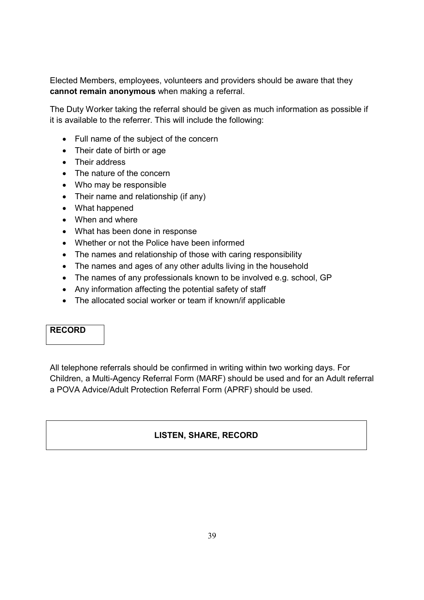Elected Members, employees, volunteers and providers should be aware that they **cannot remain anonymous** when making a referral.

The Duty Worker taking the referral should be given as much information as possible if it is available to the referrer. This will include the following:

- Full name of the subject of the concern
- Their date of birth or age
- Their address
- The nature of the concern
- Who may be responsible
- Their name and relationship (if any)
- What happened
- When and where
- What has been done in response
- Whether or not the Police have been informed
- The names and relationship of those with caring responsibility
- The names and ages of any other adults living in the household
- The names of any professionals known to be involved e.g. school, GP
- Any information affecting the potential safety of staff
- The allocated social worker or team if known/if applicable

## **RECORD**

All telephone referrals should be confirmed in writing within two working days. For Children, a Multi-Agency Referral Form (MARF) should be used and for an Adult referral a POVA Advice/Adult Protection Referral Form (APRF) should be used.

## **LISTEN, SHARE, RECORD**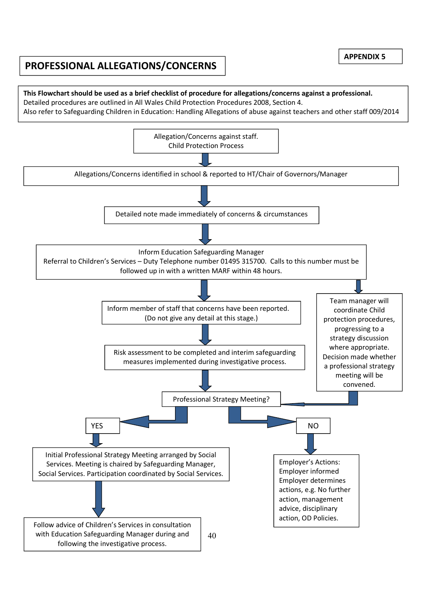# **PROFESSIONAL ALLEGATIONS/CONCERNS**

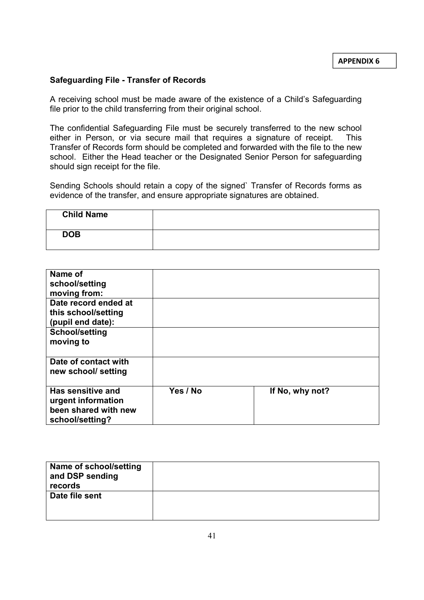#### **Safeguarding File - Transfer of Records**

A receiving school must be made aware of the existence of a Child's Safeguarding file prior to the child transferring from their original school.

The confidential Safeguarding File must be securely transferred to the new school either in Person, or via secure mail that requires a signature of receipt. This Transfer of Records form should be completed and forwarded with the file to the new school. Either the Head teacher or the Designated Senior Person for safeguarding should sign receipt for the file.

Sending Schools should retain a copy of the signed` Transfer of Records forms as evidence of the transfer, and ensure appropriate signatures are obtained.

| <b>Child Name</b> |  |
|-------------------|--|
| <b>DOB</b>        |  |

| Name of<br>school/setting<br>moving from:                                          |          |                 |
|------------------------------------------------------------------------------------|----------|-----------------|
| Date record ended at<br>this school/setting<br>(pupil end date):                   |          |                 |
| <b>School/setting</b><br>moving to                                                 |          |                 |
| Date of contact with<br>new school/ setting                                        |          |                 |
| Has sensitive and<br>urgent information<br>been shared with new<br>school/setting? | Yes / No | If No, why not? |

| Name of school/setting<br>and DSP sending<br>records |  |
|------------------------------------------------------|--|
| Date file sent                                       |  |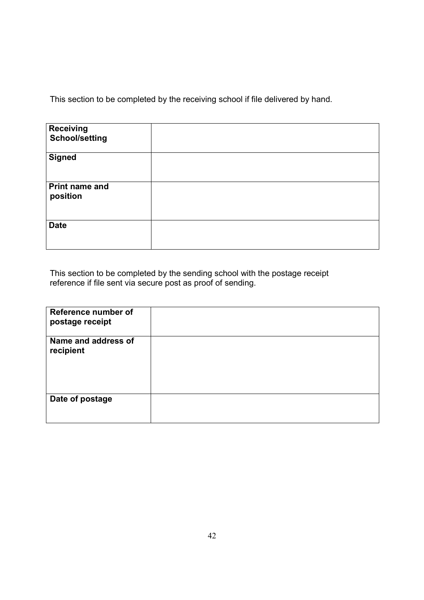This section to be completed by the receiving school if file delivered by hand.

| <b>Receiving</b><br><b>School/setting</b> |  |
|-------------------------------------------|--|
| <b>Signed</b>                             |  |
| <b>Print name and</b><br>position         |  |
| <b>Date</b>                               |  |

This section to be completed by the sending school with the postage receipt reference if file sent via secure post as proof of sending.

| Reference number of<br>postage receipt |  |
|----------------------------------------|--|
| Name and address of<br>recipient       |  |
|                                        |  |
| Date of postage                        |  |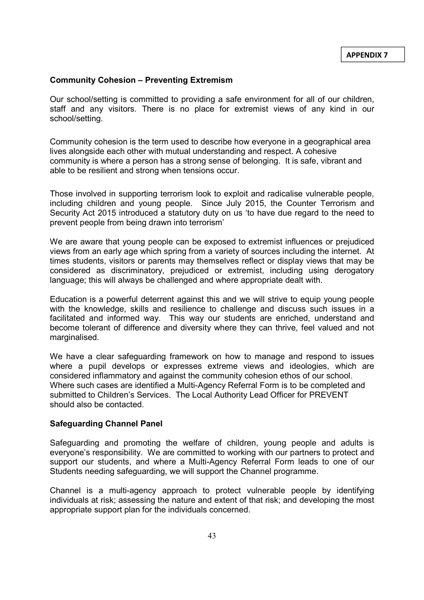#### **Community Cohesion – Preventing Extremism**

Our school/setting is committed to providing a safe environment for all of our children, staff and any visitors. There is no place for extremist views of any kind in our school/setting.

Community cohesion is the term used to describe how everyone in a geographical area lives alongside each other with mutual understanding and respect. A cohesive community is where a person has a strong sense of belonging. It is safe, vibrant and able to be resilient and strong when tensions occur.

Those involved in supporting terrorism look to exploit and radicalise vulnerable people, including children and young people. Since July 2015, the Counter Terrorism and Security Act 2015 introduced a statutory duty on us 'to have due regard to the need to prevent people from being drawn into terrorism'

We are aware that young people can be exposed to extremist influences or prejudiced views from an early age which spring from a variety of sources including the internet. At times students, visitors or parents may themselves reflect or display views that may be considered as discriminatory, prejudiced or extremist, including using derogatory language; this will always be challenged and where appropriate dealt with.

Education is a powerful deterrent against this and we will strive to equip young people with the knowledge, skills and resilience to challenge and discuss such issues in a facilitated and informed way. This way our students are enriched, understand and become tolerant of difference and diversity where they can thrive, feel valued and not marginalised.

We have a clear safeguarding framework on how to manage and respond to issues where a pupil develops or expresses extreme views and ideologies, which are considered inflammatory and against the community cohesion ethos of our school. Where such cases are identified a Multi-Agency Referral Form is to be completed and submitted to Children's Services. The Local Authority Lead Officer for PREVENT should also be contacted.

#### **Safeguarding Channel Panel**

Safeguarding and promoting the welfare of children, young people and adults is everyone's responsibility. We are committed to working with our partners to protect and support our students, and where a Multi-Agency Referral Form leads to one of our Students needing safeguarding, we will support the Channel programme.

Channel is a multi-agency approach to protect vulnerable people by identifying individuals at risk; assessing the nature and extent of that risk; and developing the most appropriate support plan for the individuals concerned.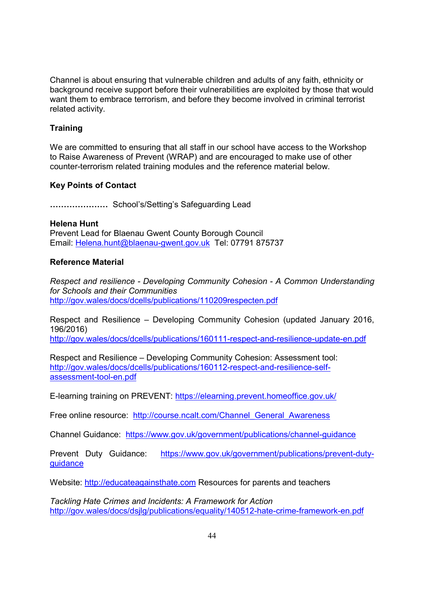Channel is about ensuring that vulnerable children and adults of any faith, ethnicity or background receive support before their vulnerabilities are exploited by those that would want them to embrace terrorism, and before they become involved in criminal terrorist related activity.

## **Training**

We are committed to ensuring that all staff in our school have access to the Workshop to Raise Awareness of Prevent (WRAP) and are encouraged to make use of other counter-terrorism related training modules and the reference material below.

## **Key Points of Contact**

**FFFFFFF** School's/Setting's Safeguarding Lead

#### **Helena Hunt**

Prevent Lead for Blaenau Gwent County Borough Council Email: Helena.hunt@blaenau-gwent.gov.uk Tel: 07791 875737

## **Reference Material**

*Respect and resilience - Developing Community Cohesion - A Common Understanding for Schools and their Communities*  http://gov.wales/docs/dcells/publications/110209respecten.pdf

Respect and Resilience – Developing Community Cohesion (updated January 2016, 196/2016)

http://gov.wales/docs/dcells/publications/160111-respect-and-resilience-update-en.pdf

Respect and Resilience – Developing Community Cohesion: Assessment tool: http://gov.wales/docs/dcells/publications/160112-respect-and-resilience-selfassessment-tool-en.pdf

E-learning training on PREVENT: https://elearning.prevent.homeoffice.gov.uk/

Free online resource: http://course.ncalt.com/Channel\_General\_Awareness

Channel Guidance: https://www.gov.uk/government/publications/channel-guidance

Prevent Duty Guidance: https://www.gov.uk/government/publications/prevent-dutyguidance

Website: http://educateagainsthate.com Resources for parents and teachers

*Tackling Hate Crimes and Incidents: A Framework for Action*  http://gov.wales/docs/dsjlg/publications/equality/140512-hate-crime-framework-en.pdf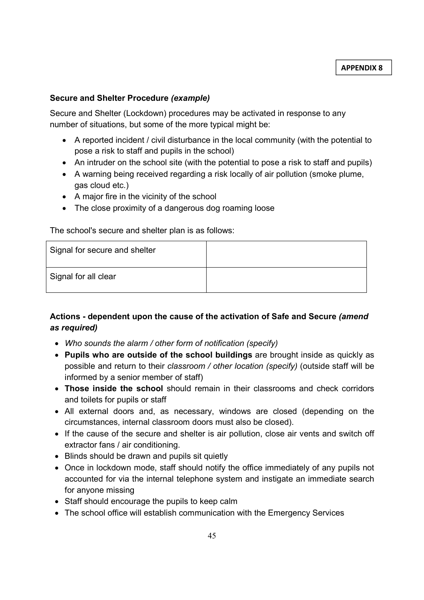#### **Secure and Shelter Procedure** *(example)*

Secure and Shelter (Lockdown) procedures may be activated in response to any number of situations, but some of the more typical might be:

- A reported incident / civil disturbance in the local community (with the potential to pose a risk to staff and pupils in the school)
- An intruder on the school site (with the potential to pose a risk to staff and pupils)
- A warning being received regarding a risk locally of air pollution (smoke plume, gas cloud etc.)
- A major fire in the vicinity of the school
- The close proximity of a dangerous dog roaming loose

The school's secure and shelter plan is as follows:

| Signal for secure and shelter |  |
|-------------------------------|--|
| Signal for all clear          |  |

## **Actions - dependent upon the cause of the activation of Safe and Secure** *(amend as required)*

- *Who sounds the alarm / other form of notification (specify)*
- **Pupils who are outside of the school buildings** are brought inside as quickly as possible and return to their *classroom / other location (specify)* (outside staff will be informed by a senior member of staff)
- **Those inside the school** should remain in their classrooms and check corridors and toilets for pupils or staff
- All external doors and, as necessary, windows are closed (depending on the circumstances, internal classroom doors must also be closed).
- If the cause of the secure and shelter is air pollution, close air vents and switch off extractor fans / air conditioning.
- Blinds should be drawn and pupils sit quietly
- Once in lockdown mode, staff should notify the office immediately of any pupils not accounted for via the internal telephone system and instigate an immediate search for anyone missing
- Staff should encourage the pupils to keep calm
- The school office will establish communication with the Emergency Services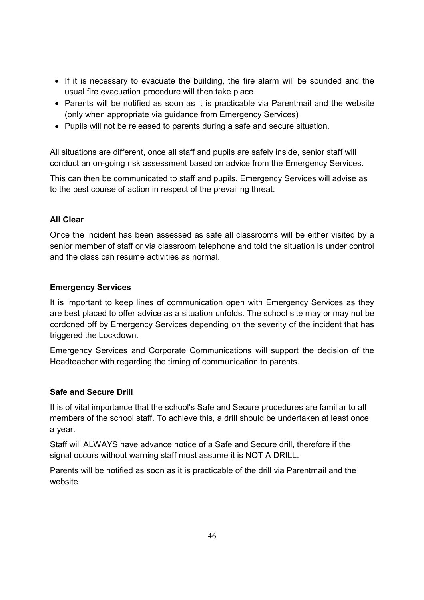- If it is necessary to evacuate the building, the fire alarm will be sounded and the usual fire evacuation procedure will then take place
- Parents will be notified as soon as it is practicable via Parentmail and the website (only when appropriate via guidance from Emergency Services)
- Pupils will not be released to parents during a safe and secure situation.

All situations are different, once all staff and pupils are safely inside, senior staff will conduct an on-going risk assessment based on advice from the Emergency Services.

This can then be communicated to staff and pupils. Emergency Services will advise as to the best course of action in respect of the prevailing threat.

#### **All Clear**

Once the incident has been assessed as safe all classrooms will be either visited by a senior member of staff or via classroom telephone and told the situation is under control and the class can resume activities as normal.

#### **Emergency Services**

It is important to keep lines of communication open with Emergency Services as they are best placed to offer advice as a situation unfolds. The school site may or may not be cordoned off by Emergency Services depending on the severity of the incident that has triggered the Lockdown.

Emergency Services and Corporate Communications will support the decision of the Headteacher with regarding the timing of communication to parents.

## **Safe and Secure Drill**

It is of vital importance that the school's Safe and Secure procedures are familiar to all members of the school staff. To achieve this, a drill should be undertaken at least once a year.

Staff will ALWAYS have advance notice of a Safe and Secure drill, therefore if the signal occurs without warning staff must assume it is NOT A DRILL.

Parents will be notified as soon as it is practicable of the drill via Parentmail and the website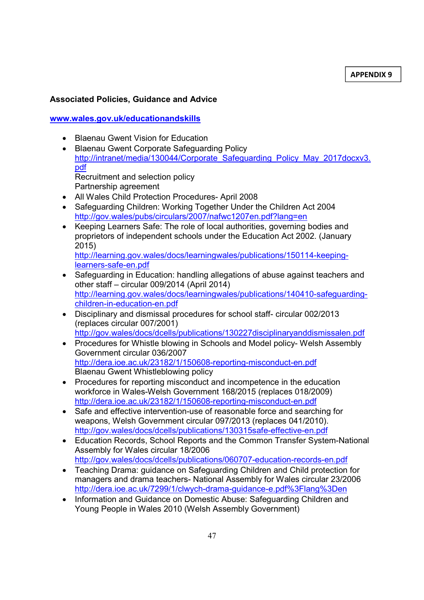**APPENDIX 9**

## **Associated Policies, Guidance and Advice**

## **www.wales.gov.uk/educationandskills**

- Blaenau Gwent Vision for Education
- Blaenau Gwent Corporate Safeguarding Policy http://intranet/media/130044/Corporate\_Safeguarding\_Policy\_May\_2017docxv3. pdf Recruitment and selection policy Partnership agreement
- All Wales Child Protection Procedures- April 2008
- Safeguarding Children: Working Together Under the Children Act 2004 http://gov.wales/pubs/circulars/2007/nafwc1207en.pdf?lang=en
- Keeping Learners Safe: The role of local authorities, governing bodies and proprietors of independent schools under the Education Act 2002. (January 2015) http://learning.gov.wales/docs/learningwales/publications/150114-keeping-
- learners-safe-en.pdf • Safeguarding in Education: handling allegations of abuse against teachers and other staff – circular 009/2014 (April 2014) http://learning.gov.wales/docs/learningwales/publications/140410-safeguardingchildren-in-education-en.pdf
- Disciplinary and dismissal procedures for school staff- circular 002/2013 (replaces circular 007/2001) http://gov.wales/docs/dcells/publications/130227disciplinaryanddismissalen.pdf
- Procedures for Whistle blowing in Schools and Model policy- Welsh Assembly Government circular 036/2007 http://dera.ioe.ac.uk/23182/1/150608-reporting-misconduct-en.pdf Blaenau Gwent Whistleblowing policy
- Procedures for reporting misconduct and incompetence in the education workforce in Wales-Welsh Government 168/2015 (replaces 018/2009) http://dera.ioe.ac.uk/23182/1/150608-reporting-misconduct-en.pdf
- Safe and effective intervention-use of reasonable force and searching for weapons, Welsh Government circular 097/2013 (replaces 041/2010). http://gov.wales/docs/dcells/publications/130315safe-effective-en.pdf
- Education Records, School Reports and the Common Transfer System-National Assembly for Wales circular 18/2006 http://gov.wales/docs/dcells/publications/060707-education-records-en.pdf
- Teaching Drama: guidance on Safeguarding Children and Child protection for managers and drama teachers- National Assembly for Wales circular 23/2006 http://dera.ioe.ac.uk/7299/1/clwych-drama-guidance-e.pdf%3Flang%3Den
- Information and Guidance on Domestic Abuse: Safeguarding Children and Young People in Wales 2010 (Welsh Assembly Government)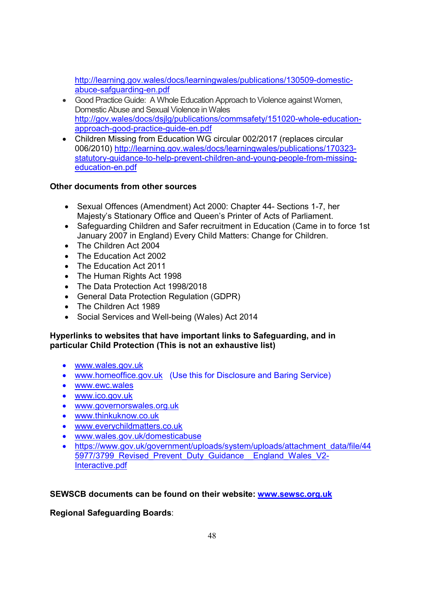http://learning.gov.wales/docs/learningwales/publications/130509-domesticabuce-safguarding-en.pdf

- Good Practice Guide: A Whole Education Approach to Violence against Women, Domestic Abuse and Sexual Violence in Wales http://gov.wales/docs/dsjlg/publications/commsafety/151020-whole-educationapproach-good-practice-guide-en.pdf
- Children Missing from Education WG circular 002/2017 (replaces circular 006/2010) http://learning.gov.wales/docs/learningwales/publications/170323 statutory-guidance-to-help-prevent-children-and-young-people-from-missingeducation-en.pdf

## **Other documents from other sources**

- Sexual Offences (Amendment) Act 2000: Chapter 44- Sections 1-7, her Majesty's Stationary Office and Queen's Printer of Acts of Parliament.
- Safeguarding Children and Safer recruitment in Education (Came in to force 1st January 2007 in England) Every Child Matters: Change for Children.
- The Children Act 2004
- The Education Act 2002
- The Education Act 2011
- The Human Rights Act 1998
- The Data Protection Act 1998/2018
- General Data Protection Regulation (GDPR)
- The Children Act 1989
- Social Services and Well-being (Wales) Act 2014

## **Hyperlinks to websites that have important links to Safeguarding, and in particular Child Protection (This is not an exhaustive list)**

- www.wales.gov.uk
- www.homeoffice.gov.uk (Use this for Disclosure and Baring Service)
- www.ewc.wales
- www.ico.gov.uk
- www.governorswales.org.uk
- www.thinkuknow.co.uk
- www.everychildmatters.co.uk
- www.wales.gov.uk/domesticabuse
- https://www.gov.uk/government/uploads/system/uploads/attachment\_data/file/44 5977/3799 Revised Prevent Duty Guidance England Wales V2-Interactive.pdf

## **SEWSCB documents can be found on their website: www.sewsc.org.uk**

## **Regional Safeguarding Boards**: